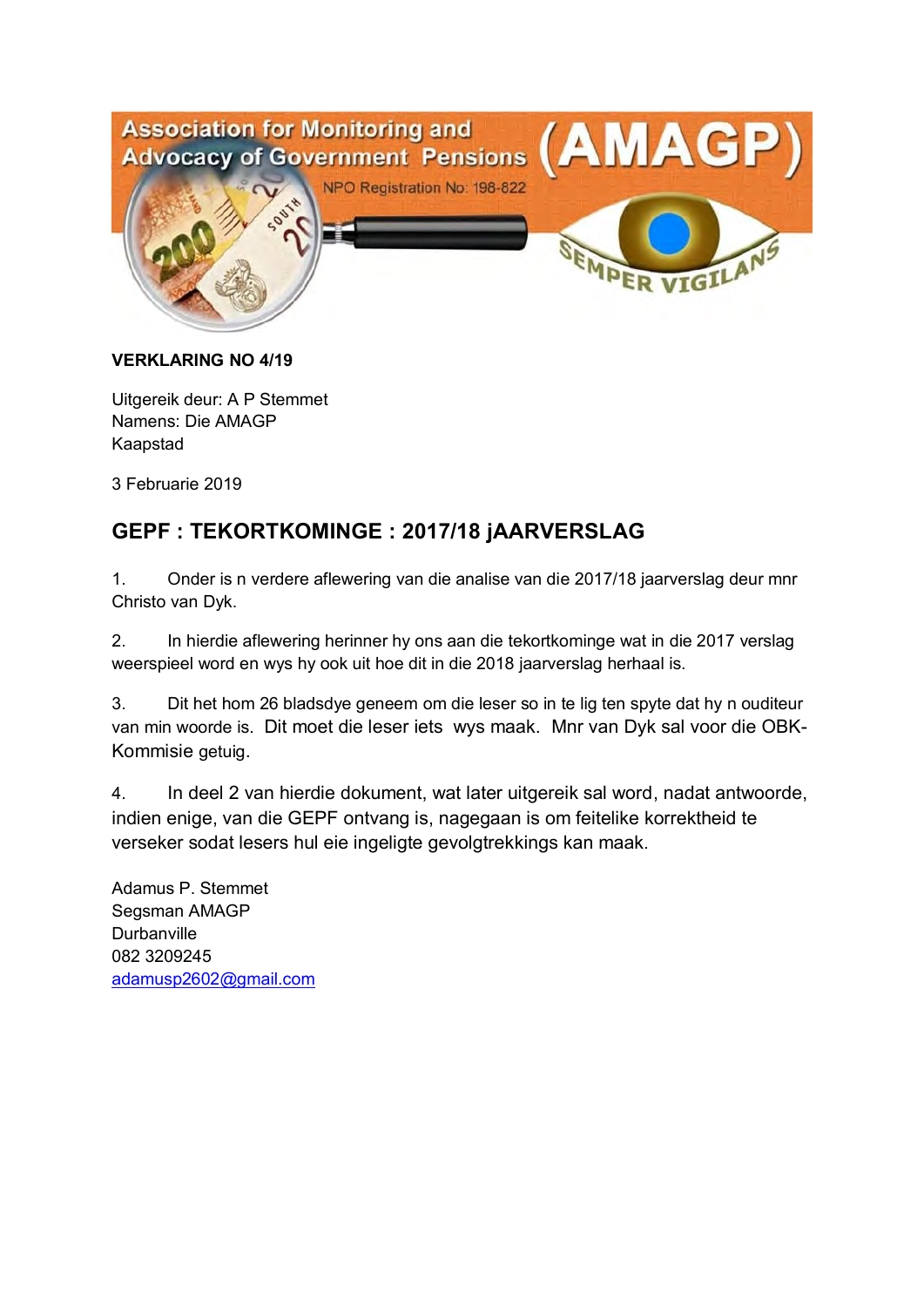

#### **VERKLARING NO 4/19**

Uitgereik deur: A P Stemmet Namens: Die AMAGP Kaapstad

3 Februarie 2019

# **GEPF : TEKORTKOMINGE : 2017/18 jAARVERSLAG**

1. Onder is n verdere aflewering van die analise van die 2017/18 jaarverslag deur mnr Christo van Dyk.

2. In hierdie aflewering herinner hy ons aan die tekortkominge wat in die 2017 verslag weerspieel word en wys hy ook uit hoe dit in die 2018 jaarverslag herhaal is.

3. Dit het hom 26 bladsdye geneem om die leser so in te lig ten spyte dat hy n ouditeur van min woorde is. Dit moet die leser iets wys maak. Mnr van Dyk sal voor die OBK-Kommisie getuig.

4. In deel 2 van hierdie dokument, wat later uitgereik sal word, nadat antwoorde, indien enige, van die GEPF ontvang is, nagegaan is om feitelike korrektheid te verseker sodat lesers hul eie ingeligte gevolgtrekkings kan maak.

Adamus P. Stemmet Segsman AMAGP **Durbanville** 082 3209245 adamusp2602@gmail.com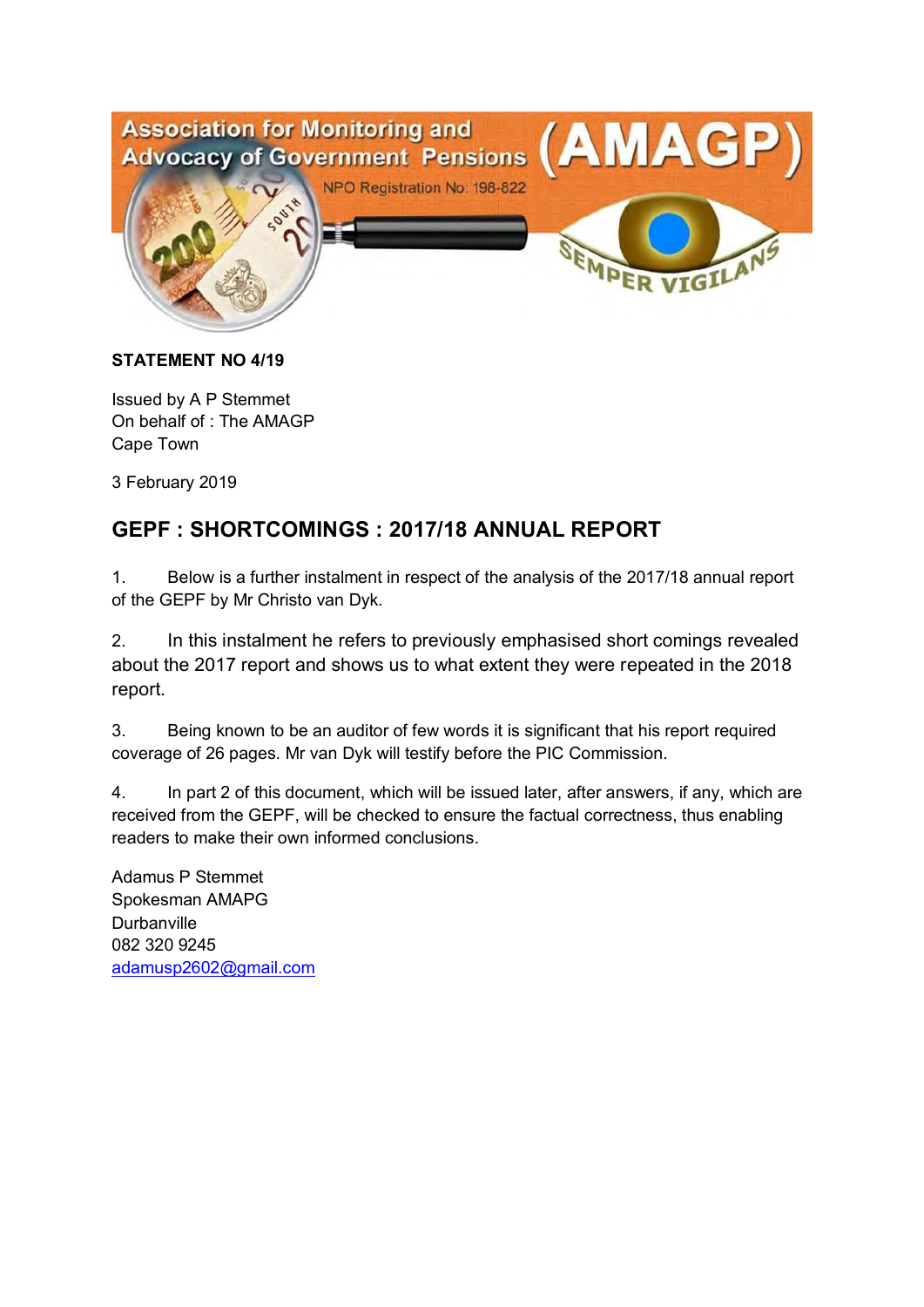

#### **STATEMENT NO 4/19**

Issued by A P Stemmet On behalf of : The AMAGP Cape Town

3 February 2019

# **GEPF : SHORTCOMINGS : 2017/18 ANNUAL REPORT**

1. Below is a further instalment in respect of the analysis of the 2017/18 annual report of the GEPF by Mr Christo van Dyk.

2. In this instalment he refers to previously emphasised short comings revealed about the 2017 report and shows us to what extent they were repeated in the 2018 report.

3. Being known to be an auditor of few words it is significant that his report required coverage of 26 pages. Mr van Dyk will testify before the PIC Commission.

4. In part 2 of this document, which will be issued later, after answers, if any, which are received from the GEPF, will be checked to ensure the factual correctness, thus enabling readers to make their own informed conclusions.

Adamus P Stemmet Spokesman AMAPG **Durbanville** 082 320 9245 adamusp2602@gmail.com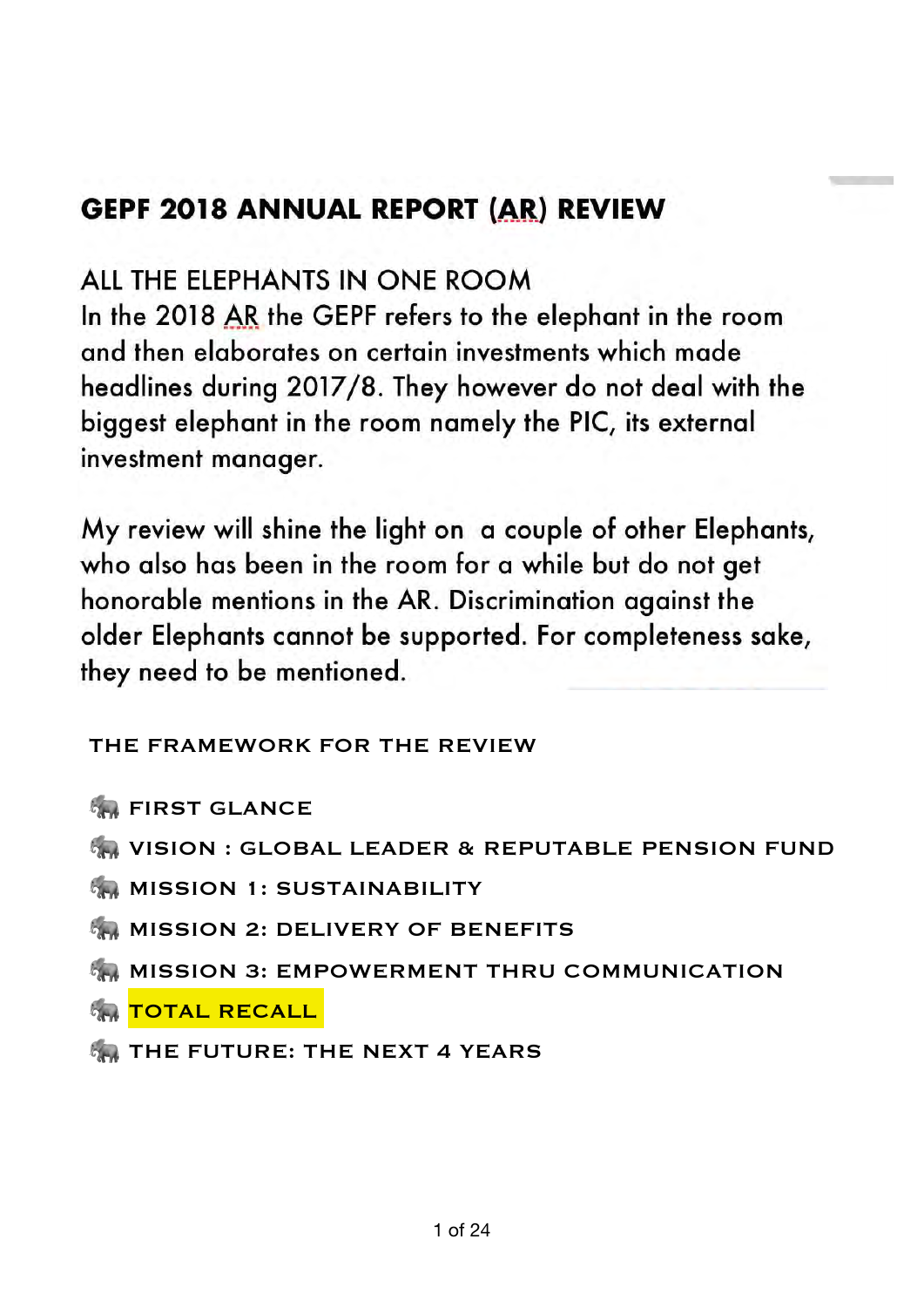# **GEPF 2018 ANNUAL REPORT (AR) REVIEW**

# ALL THE ELEPHANTS IN ONE ROOM

In the 2018 AR the GEPF refers to the elephant in the room and then elaborates on certain investments which made headlines during 2017/8. They however do not deal with the biggest elephant in the room namely the PIC, its external investment manager.

My review will shine the light on a couple of other Elephants, who also has been in the room for a while but do not get honorable mentions in the AR. Discrimination against the older Elephants cannot be supported. For completeness sake, they need to be mentioned.

THE FRAMEWORK FOR THE REVIEW

- **<b>GRAFIRST GLANCE**
- **MA VISION : GLOBAL LEADER & REPUTABLE PENSION FUND**
- **MISSION 1: SUSTAINABILITY**
- **MISSION 2: DELIVERY OF BENEFITS**
- **MAINISSION 3: EMPOWERMENT THRU COMMUNICATION**
- **FOTAL RECALL**
- **THE FUTURE: THE NEXT 4 YEARS**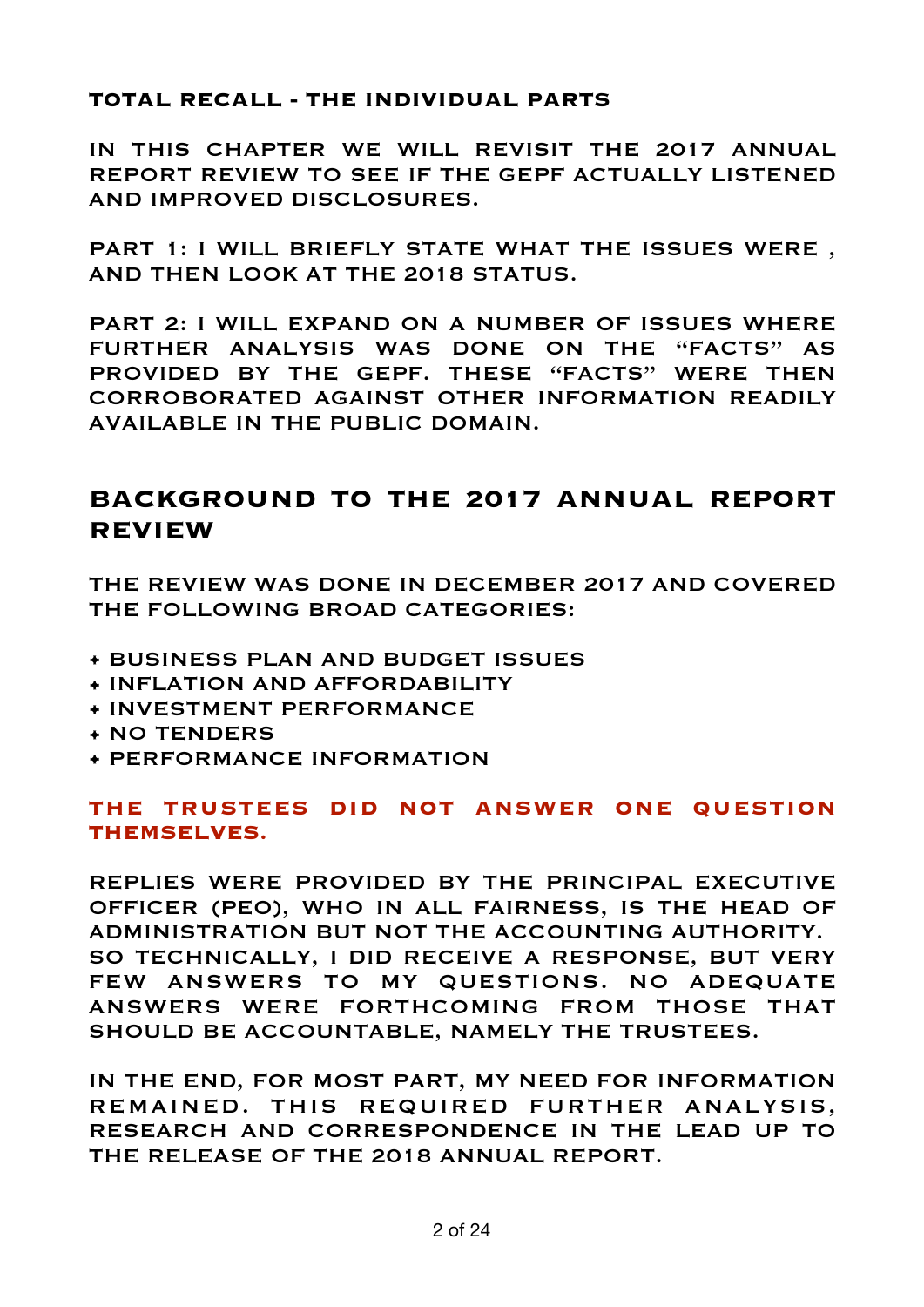# **TOTAL RECALL - THE INDIVIDUAL PARTS**

IN THIS CHAPTER WE WILL REVISIT THE 2017 ANNUAL REPORT REVIEW TO SEE IF THE GEPF ACTUALLY LISTENED AND IMPROVED DISCLOSURES.

PART 1: I WILL BRIEFLY STATE WHAT THE ISSUES WERE , AND THEN LOOK AT THE 2018 STATUS.

PART 2: I WILL EXPAND ON A NUMBER OF ISSUES WHERE FURTHER ANALYSIS WAS DONE ON THE "FACTS" AS PROVIDED BY THE GEPF. THESE "FACTS" WERE THEN CORROBORATED AGAINST OTHER INFORMATION READILY AVAILABLE IN THE PUBLIC DOMAIN.

# **BACKGROUND TO THE 2017 ANNUAL REPORT REVIEW**

THE REVIEW WAS DONE IN DECEMBER 2017 AND COVERED THE FOLLOWING BROAD CATEGORIES:

- BUSINESS PLAN AND BUDGET ISSUES
- INFLATION AND AFFORDABILITY
- INVESTMENT PERFORMANCE
- NO TENDERS
- PERFORMANCE INFORMATION

# **THE TRUSTEES DID NOT ANSWER ONE QUESTION THEMSELVES.**

REPLIES WERE PROVIDED BY THE PRINCIPAL EXECUTIVE OFFICER (PEO), WHO IN ALL FAIRNESS, IS THE HEAD OF ADMINISTRATION BUT NOT THE ACCOUNTING AUTHORITY. SO TECHNICALLY, I DID RECEIVE A RESPONSE, BUT VERY FEW ANSWERS TO MY QUESTIONS. NO ADEQUATE ANSWERS WERE FORTHCOMING FROM THOSE THAT SHOULD BE ACCOUNTABLE, NAMELY THE TRUSTEES.

IN THE END, FOR MOST PART, MY NEED FOR INFORMATION REMAINED. THIS REQUIRED FURTHER ANALYSIS, RESEARCH AND CORRESPONDENCE IN THE LEAD UP TO THE RELEASE OF THE 2018 ANNUAL REPORT.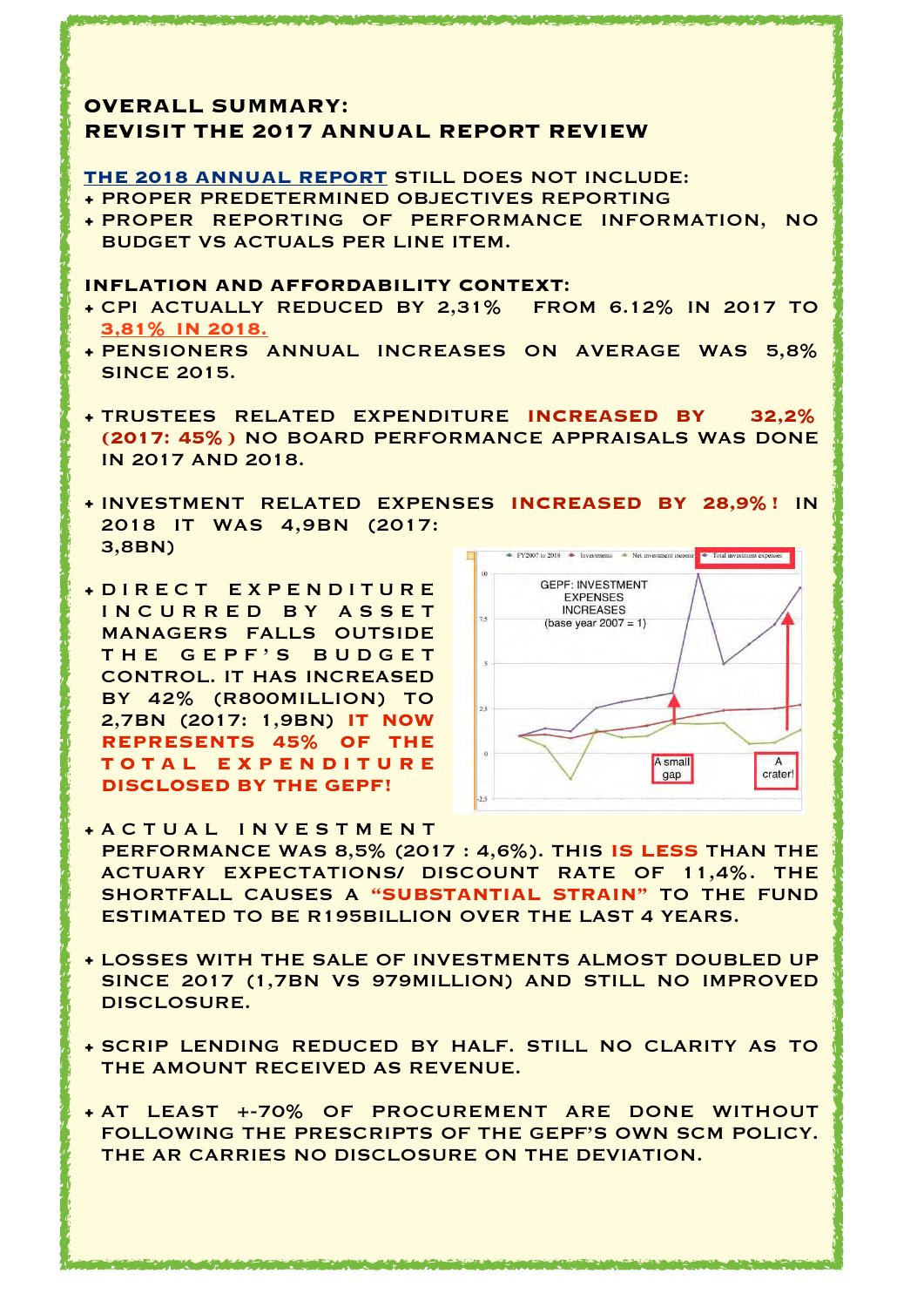### **OVERALL SUMMARY: REVISIT THE 2017 ANNUAL REPORT REVIEW**

#### **THE 2018 ANNUAL REPORT** STILL DOES NOT INCLUDE:

- PROPER PREDETERMINED OBJECTIVES REPORTING
- PROPER REPORTING OF PERFORMANCE INFORMATION, NO BUDGET VS ACTUALS PER LINE ITEM.

#### **INFLATION AND AFFORDABILITY CONTEXT:**

- CPI ACTUALLY REDUCED BY 2,31% FROM 6.12% IN 2017 TO **3,81% IN 2018.**
- PENSIONERS ANNUAL INCREASES ON AVERAGE WAS 5,8% SINCE 2015.
- TRUSTEES RELATED EXPENDITURE **INCREASED BY 32,2% (2017: 45%)** NO BOARD PERFORMANCE APPRAISALS WAS DONE IN 2017 AND 2018.
- INVESTMENT RELATED EXPENSES **INCREASED BY 28,9%!** IN 2018 IT WAS 4,9BN (2017: 3,8BN)
- D I R E C T E X P E N D I T U R E INCURRED BY ASSET MANAGERS FALLS OUTSIDE THE GEPF'S BUDGET CONTROL. IT HAS INCREASED BY 42% (R800MILLION) TO 2,7BN (2017: 1,9BN) **IT NOW REPRESENTS 45% OF THE T O T A L E X P E N D I T U R E DISCLOSED BY THE GEPF!**



- A C T U A L I N V E S T M E N T PERFORMANCE WAS 8,5% (2017 : 4,6%). THIS **IS LESS** THAN THE ACTUARY EXPECTATIONS/ DISCOUNT RATE OF 11,4%. THE SHORTFALL CAUSES A **"SUBSTANTIAL STRAIN"** TO THE FUND ESTIMATED TO BE R195BILLION OVER THE LAST 4 YEARS.
- LOSSES WITH THE SALE OF INVESTMENTS ALMOST DOUBLED UP SINCE 2017 (1,7BN VS 979MILLION) AND STILL NO IMPROVED DISCLOSURE.
- SCRIP LENDING REDUCED BY HALF. STILL NO CLARITY AS TO THE AMOUNT RECEIVED AS REVENUE.
- AT LEAST +-70% OF PROCUREMENT ARE DONE WITHOUT FOLLOWING THE PRESCRIPTS OF THE GEPF'S OWN SCM POLICY. THE AR CARRIES NO DISCLOSURE ON THE DEVIATION.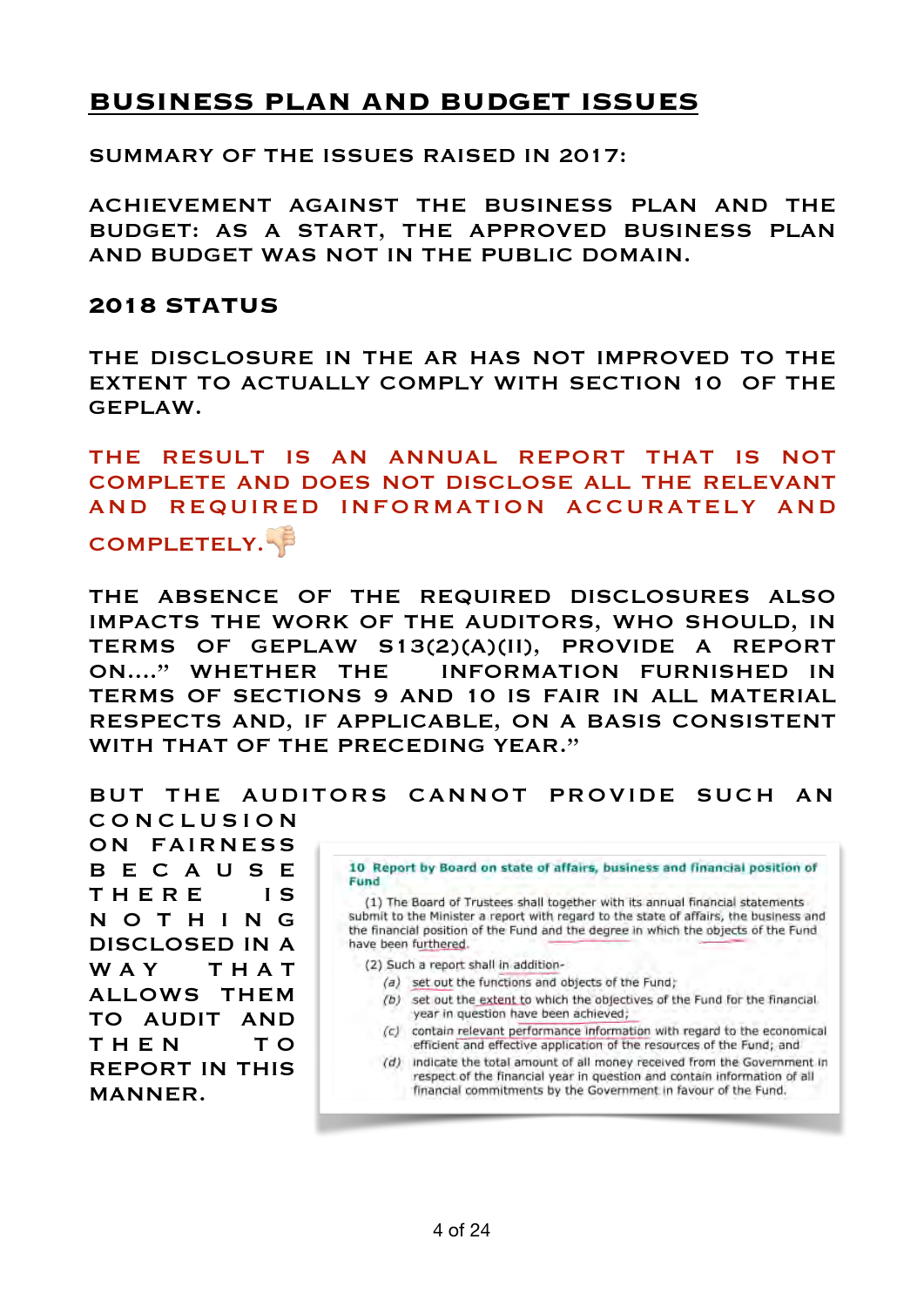# **BUSINESS PLAN AND BUDGET ISSUES**

SUMMARY OF THE ISSUES RAISED IN 2017:

ACHIEVEMENT AGAINST THE BUSINESS PLAN AND THE BUDGET: AS A START, THE APPROVED BUSINESS PLAN AND BUDGET WAS NOT IN THE PUBLIC DOMAIN.

#### **2018 STATUS**

THE DISCLOSURE IN THE AR HAS NOT IMPROVED TO THE EXTENT TO ACTUALLY COMPLY WITH SECTION 10 OF THE GEPLAW.

THE RESULT IS AN ANNUAL REPORT THAT IS NOT COMPLETE AND DOES NOT DISCLOSE ALL THE RELEVANT AND REQUIRED INFORMATION ACCURATELY AND

COMPLETELY.

THE ABSENCE OF THE REQUIRED DISCLOSURES ALSO IMPACTS THE WORK OF THE AUDITORS, WHO SHOULD, IN TERMS OF GEPLAW S13(2)(A)(II), PROVIDE A REPORT ON...." WHETHER THE INFORMATION FURNISHED IN TERMS OF SECTIONS 9 AND 10 IS FAIR IN ALL MATERIAL RESPECTS AND, IF APPLICABLE, ON A BASIS CONSISTENT WITH THAT OF THE PRECEDING YEAR."

BUT THE AUDITORS CANNOT PROVIDE SUCH AN

C O N C L U S I O N ON FAIRNESS B E C A U S E THERE IS N O T H I N G DISCLOSED IN A W A Y T H A T ALLOWS THEM TO AUDIT AND THEN TO REPORT IN THIS MANNER.

10 Report by Board on state of affairs, business and financial position of **Fund** 

(1) The Board of Trustees shall together with its annual financial statements submit to the Minister a report with regard to the state of affairs, the business and the financial position of the Fund and the degree in which the objects of the Fund have been furthered.

- (2) Such a report shall in addition-
	- (a) set out the functions and objects of the Fund;
	- (b) set out the extent to which the objectives of the Fund for the financial year in question have been achieved;
	- (c) contain relevant performance information with regard to the economical efficient and effective application of the resources of the Fund; and
	- (d) indicate the total amount of all money received from the Government in respect of the financial year in question and contain information of all financial commitments by the Government in favour of the Fund.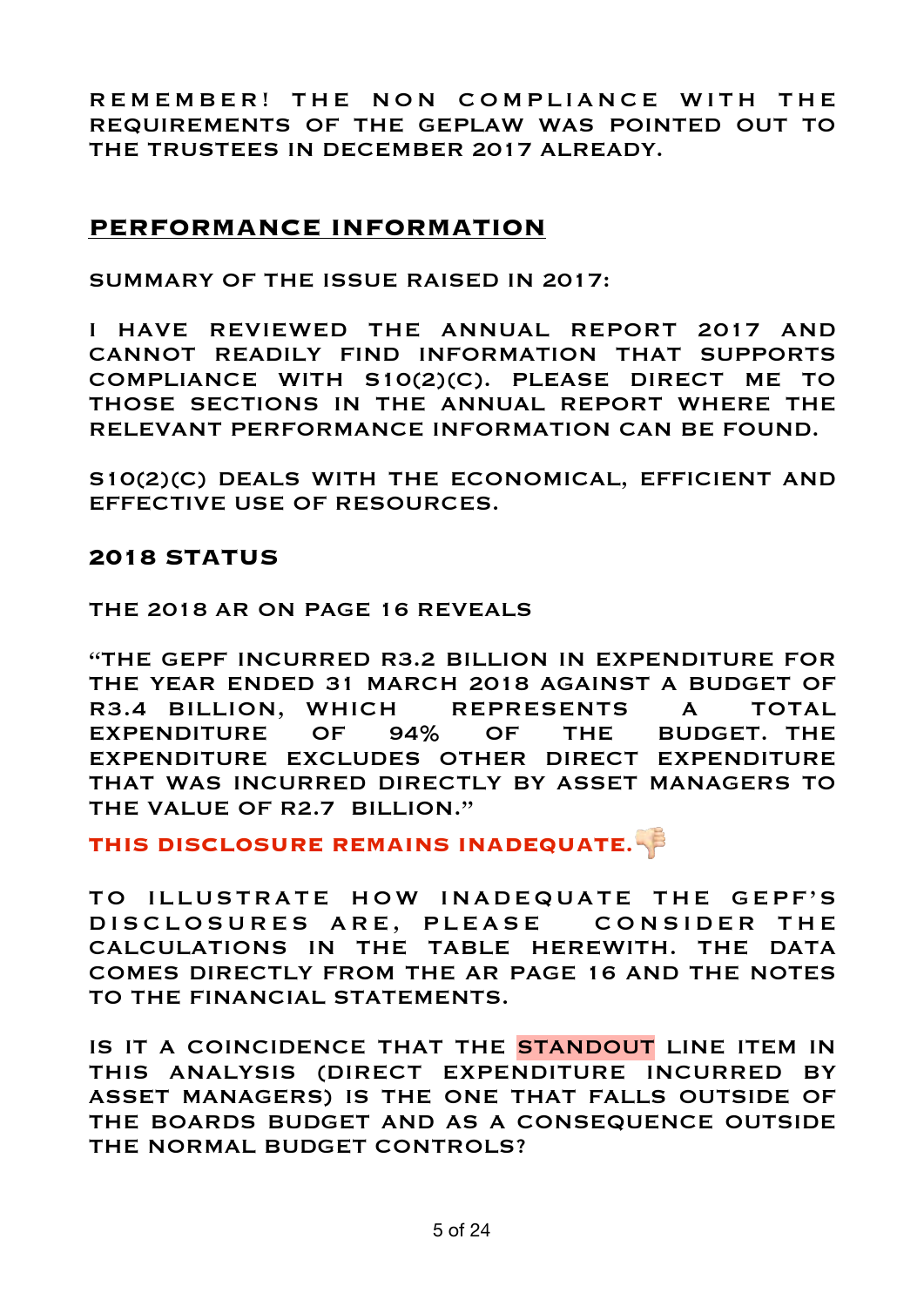REMEMBER! THE NON COMPLIANCE WITH THE REQUIREMENTS OF THE GEPLAW WAS POINTED OUT TO THE TRUSTEES IN DECEMBER 2017 ALREADY.

# **PERFORMANCE INFORMATION**

SUMMARY OF THE ISSUE RAISED IN 2017:

I HAVE REVIEWED THE ANNUAL REPORT 2017 AND CANNOT READILY FIND INFORMATION THAT SUPPORTS COMPLIANCE WITH S10(2)(C). PLEASE DIRECT ME TO THOSE SECTIONS IN THE ANNUAL REPORT WHERE THE RELEVANT PERFORMANCE INFORMATION CAN BE FOUND.

S10(2)(C) DEALS WITH THE ECONOMICAL, EFFICIENT AND EFFECTIVE USE OF RESOURCES.

# **2018 STATUS**

THE 2018 AR ON PAGE 16 REVEALS

"THE GEPF INCURRED R3.2 BILLION IN EXPENDITURE FOR THE YEAR ENDED 31 MARCH 2018 AGAINST A BUDGET OF R3.4 BILLION, WHICH REPRESENTS A TOTAL EXPENDITURE OF 94% OF THE BUDGET. THE EXPENDITURE EXCLUDES OTHER DIRECT EXPENDITURE THAT WAS INCURRED DIRECTLY BY ASSET MANAGERS TO THE VALUE OF R2.7 BILLION."

**THIS DISCLOSURE REMAINS INADEQUATE.**"

TO ILLUSTRATE HOW INADEQUATE THE GEPF'S DISCLOSURES ARE, PLEASE CONSIDER THE CALCULATIONS IN THE TABLE HEREWITH. THE DATA COMES DIRECTLY FROM THE AR PAGE 16 AND THE NOTES TO THE FINANCIAL STATEMENTS.

IS IT A COINCIDENCE THAT THE STANDOUT LINE ITEM IN THIS ANALYSIS (DIRECT EXPENDITURE INCURRED BY ASSET MANAGERS) IS THE ONE THAT FALLS OUTSIDE OF THE BOARDS BUDGET AND AS A CONSEQUENCE OUTSIDE THE NORMAL BUDGET CONTROLS?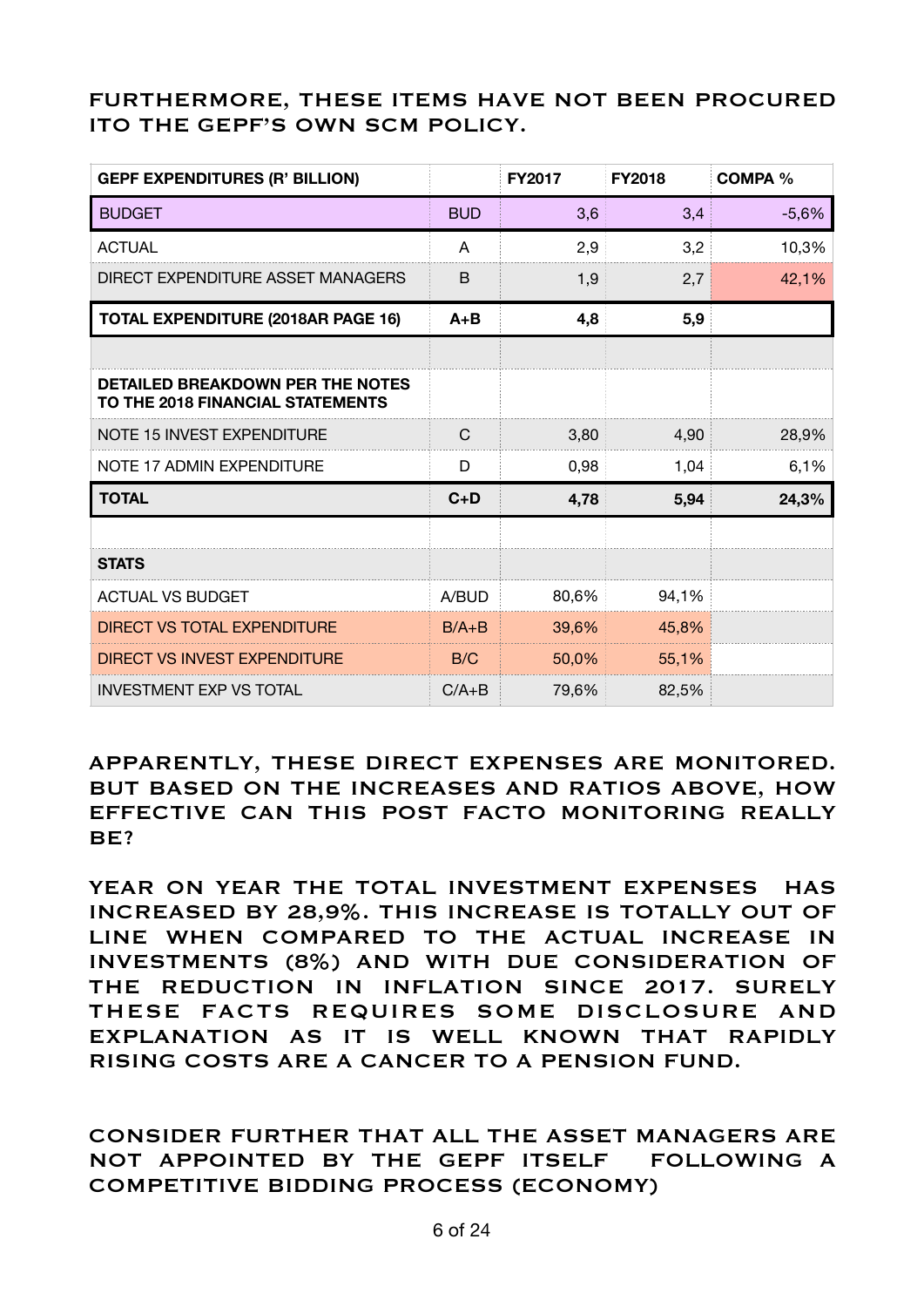# FURTHERMORE, THESE ITEMS HAVE NOT BEEN PROCURED ITO THE GEPF'S OWN SCM POLICY.

| <b>GEPF EXPENDITURES (R' BILLION)</b>                                       |            | <b>FY2017</b> | <b>FY2018</b> | <b>COMPA %</b> |
|-----------------------------------------------------------------------------|------------|---------------|---------------|----------------|
| <b>BUDGET</b>                                                               | <b>BUD</b> | 3,6           | 3,4           | $-5,6%$        |
| <b>ACTUAL</b>                                                               | A          | 2,9           | 3,2           | 10,3%          |
| DIRECT EXPENDITURE ASSET MANAGERS                                           | B          | 1,9           | 2,7           | 42,1%          |
| <b>TOTAL EXPENDITURE (2018AR PAGE 16)</b>                                   | $A + B$    | 4,8           | 5,9           |                |
|                                                                             |            |               |               |                |
| <b>DETAILED BREAKDOWN PER THE NOTES</b><br>TO THE 2018 FINANCIAL STATEMENTS |            |               |               |                |
| NOTE 15 INVEST EXPENDITURE                                                  | C          | 3,80          | 4,90          | 28,9%          |
| NOTE 17 ADMIN EXPENDITURE                                                   | D          | 0,98          | 1,04          | 6,1%           |
| <b>TOTAL</b>                                                                | $C+D$      | 4,78          | 5,94          | 24,3%          |
|                                                                             |            |               |               |                |
| <b>STATS</b>                                                                |            |               |               |                |
| <b>ACTUAL VS BUDGET</b>                                                     | A/BUD      | 80,6%         | 94,1%         |                |
| DIRECT VS TOTAL EXPENDITURE                                                 | $B/A + B$  | 39,6%         | 45,8%         |                |
| DIRECT VS INVEST EXPENDITURE                                                | B/C        | 50,0%         | 55,1%         |                |
| <b>INVESTMENT EXP VS TOTAL</b>                                              | $C/A + B$  | 79,6%         | 82,5%         |                |

APPARENTLY, THESE DIRECT EXPENSES ARE MONITORED. BUT BASED ON THE INCREASES AND RATIOS ABOVE, HOW EFFECTIVE CAN THIS POST FACTO MONITORING REALLY  $BF$ ?

YEAR ON YEAR THE TOTAL INVESTMENT EXPENSES HAS INCREASED BY 28,9%. THIS INCREASE IS TOTALLY OUT OF LINE WHEN COMPARED TO THE ACTUAL INCREASE IN INVESTMENTS (8%) AND WITH DUE CONSIDERATION OF THE REDUCTION IN INFLATION SINCE 2017. SURELY THESE FACTS REQUIRES SOME DISCLOSURE AND EXPLANATION AS IT IS WELL KNOWN THAT RAPIDLY RISING COSTS ARE A CANCER TO A PENSION FUND.

CONSIDER FURTHER THAT ALL THE ASSET MANAGERS ARE NOT APPOINTED BY THE GEPF ITSELF FOLLOWING A COMPETITIVE BIDDING PROCESS (ECONOMY)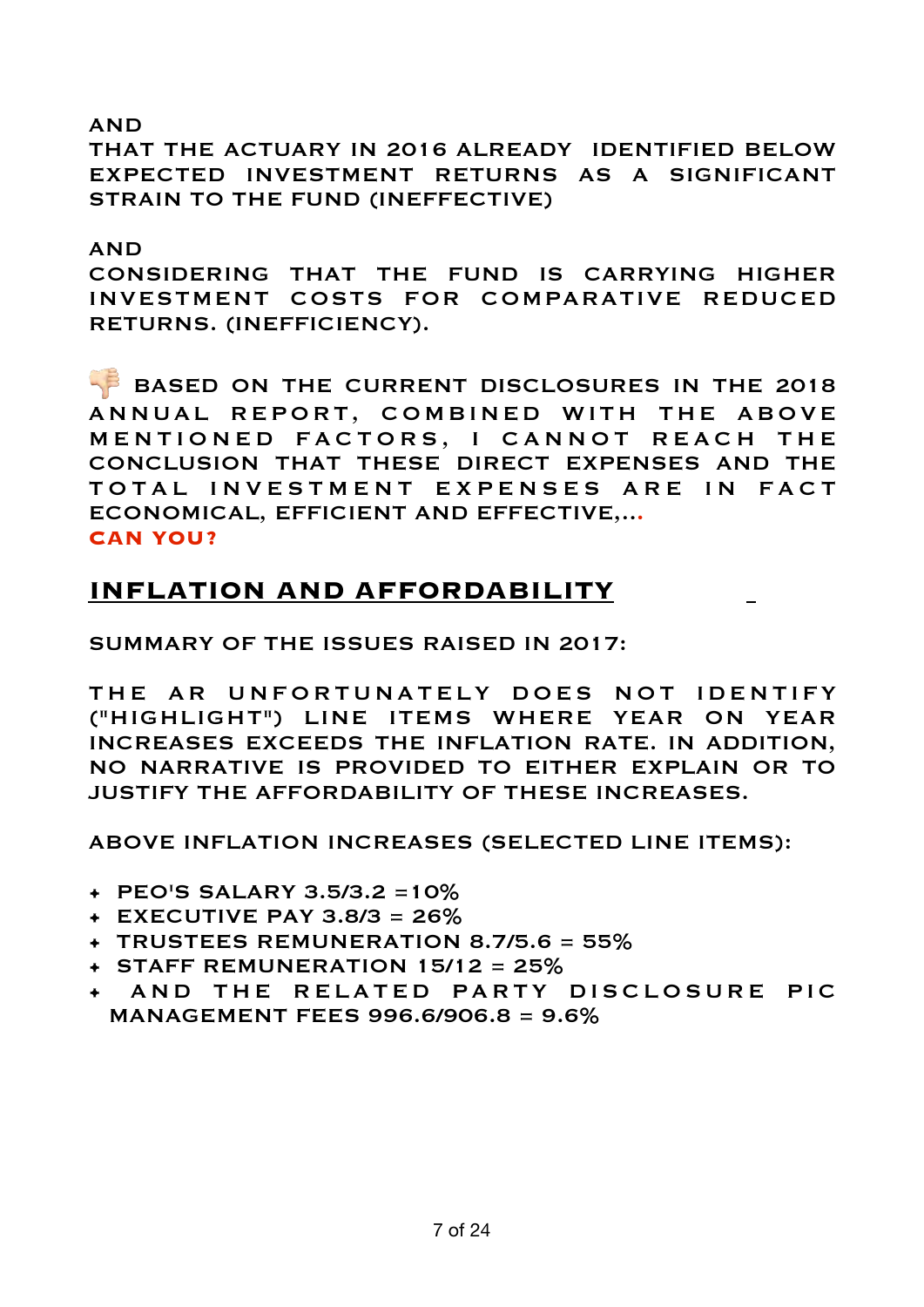### AND

THAT THE ACTUARY IN 2016 ALREADY IDENTIFIED BELOW EXPECTED INVESTMENT RETURNS AS A SIGNIFICANT STRAIN TO THE FUND (INEFFECTIVE)

#### AND

CONSIDERING THAT THE FUND IS CARRYING HIGHER INVESTMENT COSTS FOR COMPARATIVE REDUCED RETURNS. (INEFFICIENCY).

BASED ON THE CURRENT DISCLOSURES IN THE 2018 ANNUAL REPORT, COMBINED WITH THE ABOVE MENTIONED FACTORS, I CANNOT REACH THE CONCLUSION THAT THESE DIRECT EXPENSES AND THE TOTAL INVESTMENT EXPENSES ARE IN FACT ECONOMICAL, EFFICIENT AND EFFECTIVE,..**. CAN YOU?** 

# **INFLATION AND AFFORDABILITY**

SUMMARY OF THE ISSUES RAISED IN 2017:

THE AR UNFORTUNATELY DOES NOT IDENTIFY ("HIGHLIGHT") LINE ITEMS WHERE YEAR ON YEAR INCREASES EXCEEDS THE INFLATION RATE. IN ADDITION, NO NARRATIVE IS PROVIDED TO EITHER EXPLAIN OR TO JUSTIFY THE AFFORDABILITY OF THESE INCREASES.

ABOVE INFLATION INCREASES (SELECTED LINE ITEMS):

- PEO'S SALARY 3.5/3.2 =10%
- $+$  EXECUTIVE PAY 3.8/3 = 26%
- TRUSTEES REMUNERATION 8.7/5.6 = 55%
- $+$  STAFF REMUNERATION 15/12 = 25%
- AND THE RELATED PARTY DISCLOSURE PIC MANAGEMENT FEES 996.6/906.8 = 9.6%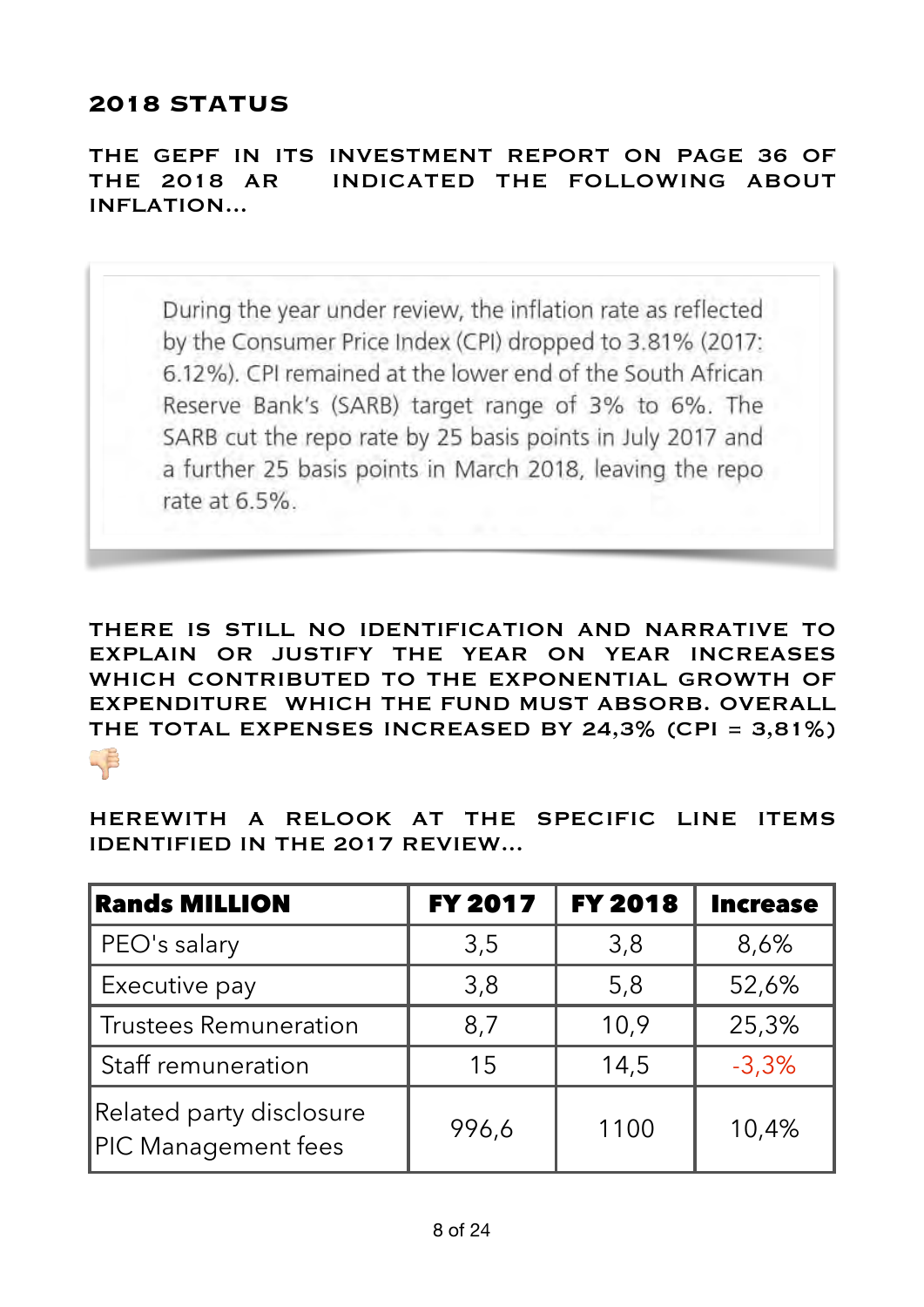# **2018 STATUS**

THE GEPF IN ITS INVESTMENT REPORT ON PAGE 36 OF THE 2018 AR INDICATED THE FOLLOWING ABOUT INFLATION...

During the year under review, the inflation rate as reflected by the Consumer Price Index (CPI) dropped to 3.81% (2017: 6.12%). CPI remained at the lower end of the South African Reserve Bank's (SARB) target range of 3% to 6%. The SARB cut the repo rate by 25 basis points in July 2017 and a further 25 basis points in March 2018, leaving the repo rate at 6.5%.

THERE IS STILL NO IDENTIFICATION AND NARRATIVE TO EXPLAIN OR JUSTIFY THE YEAR ON YEAR INCREASES WHICH CONTRIBUTED TO THE EXPONENTIAL GROWTH OF EXPENDITURE WHICH THE FUND MUST ABSORB. OVERALL THE TOTAL EXPENSES INCREASED BY 24,3% (CPI = 3,81%) **"** 

HEREWITH A RELOOK AT THE SPECIFIC LINE ITEMS IDENTIFIED IN THE 2017 REVIEW...

| <b>Rands MILLION</b>                            | <b>FY 2017</b> | <b>FY 2018</b> | <b>Increase</b> |
|-------------------------------------------------|----------------|----------------|-----------------|
| PEO's salary                                    | 3,5            | 3,8            | 8,6%            |
| Executive pay                                   | 3,8            | 5,8            | 52,6%           |
| <b>Trustees Remuneration</b>                    | 8,7            | 10,9           | 25,3%           |
| Staff remuneration                              | 15             | 14,5           | $-3,3%$         |
| Related party disclosure<br>PIC Management fees | 996,6          | 1100           | 10,4%           |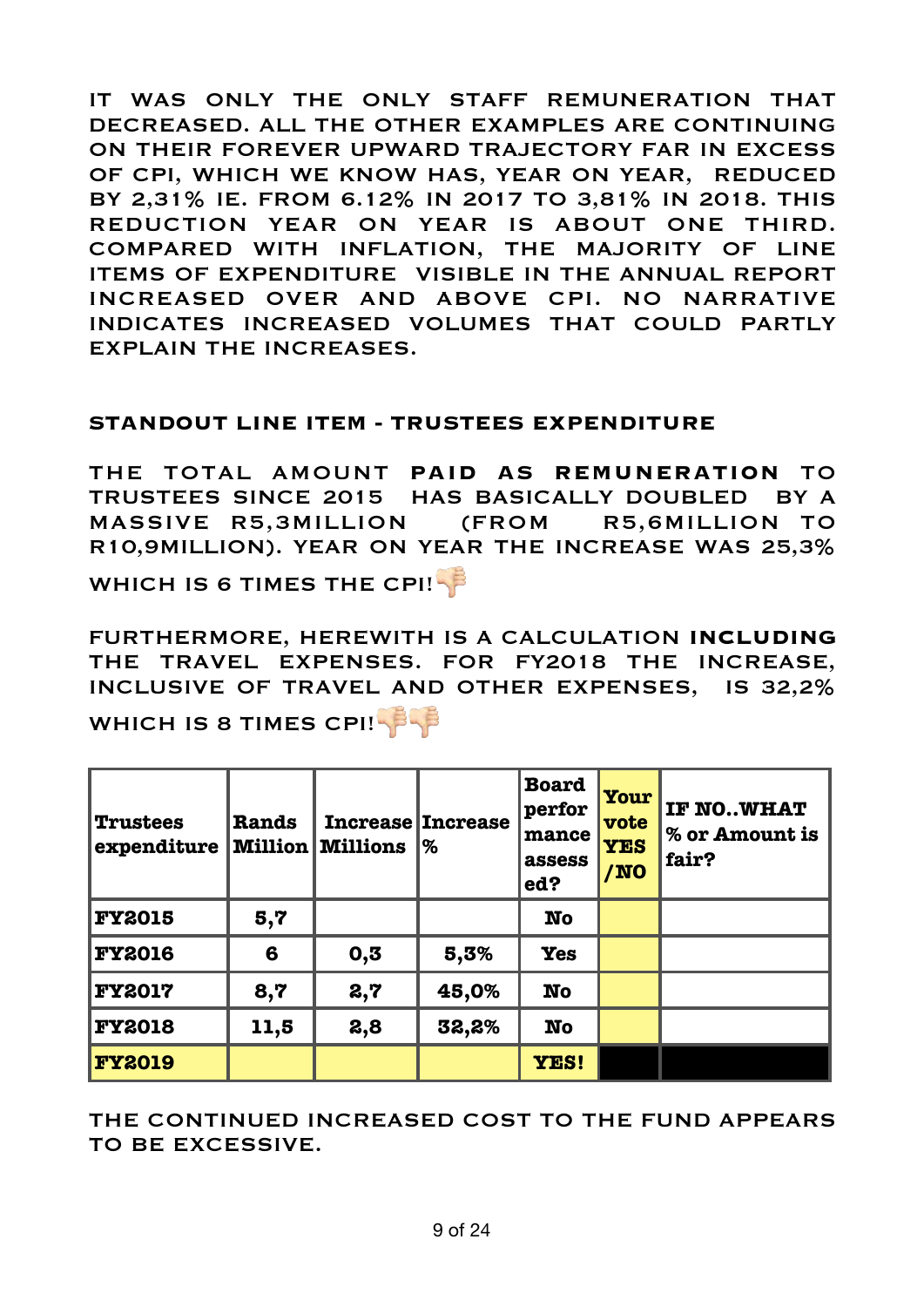IT WAS ONLY THE ONLY STAFF REMUNERATION THAT DECREASED. ALL THE OTHER EXAMPLES ARE CONTINUING ON THEIR FOREVER UPWARD TRAJECTORY FAR IN EXCESS OF CPI, WHICH WE KNOW HAS, YEAR ON YEAR, REDUCED BY 2,31% IE. FROM 6.12% IN 2017 TO 3,81% IN 2018. THIS REDUCTION YEAR ON YEAR IS ABOUT ONE THIRD. COMPARED WITH INFLATION, THE MAJORITY OF LINE ITEMS OF EXPENDITURE VISIBLE IN THE ANNUAL REPORT INCREASED OVER AND ABOVE CPI. NO NARRATIVE INDICATES INCREASED VOLUMES THAT COULD PARTLY EXPLAIN THE INCREASES.

#### **STANDOUT LINE ITEM - TRUSTEES EXPENDITURE**

THE TOTAL AMOUNT **PAID AS REMUNERATION** TO TRUSTEES SINCE 2015 HAS BASICALLY DOUBLED BY A MASSIVE R5,3MILLION (FROM R5,6MILLION TO R10,9MILLION). YEAR ON YEAR THE INCREASE WAS 25,3%

WHICH IS 6 TIMES THE CPI!

FURTHERMORE, HEREWITH IS A CALCULATION **INCLUDING** THE TRAVEL EXPENSES. FOR FY2018 THE INCREASE, INCLUSIVE OF TRAVEL AND OTHER EXPENSES, IS 32,2% WHICH IS 8 TIMES CPI!

| <b>Trustees</b><br>expenditure | Rands<br><b>Million</b> | <b>Millions</b> | <b>Increase Increase</b><br>% | <b>Board</b><br>perfor<br>mance<br>assess<br>ed? | Your<br>vote<br><b>YES</b><br>/NO | IF NOWHAT<br>% or Amount is<br>fair? |
|--------------------------------|-------------------------|-----------------|-------------------------------|--------------------------------------------------|-----------------------------------|--------------------------------------|
| <b>FY2015</b>                  | 5,7                     |                 |                               | <b>No</b>                                        |                                   |                                      |
| <b>FY2016</b>                  | 6                       | 0,5             | 5,3%                          | <b>Yes</b>                                       |                                   |                                      |
| <b>FY2017</b>                  | 8,7                     | 2,7             | 45,0%                         | <b>No</b>                                        |                                   |                                      |
| <b>FY2018</b>                  | 11,5                    | 2,8             | 32,2%                         | <b>No</b>                                        |                                   |                                      |
| <b>FY2019</b>                  |                         |                 |                               | YES!                                             |                                   |                                      |

THE CONTINUED INCREASED COST TO THE FUND APPEARS TO BE EXCESSIVE.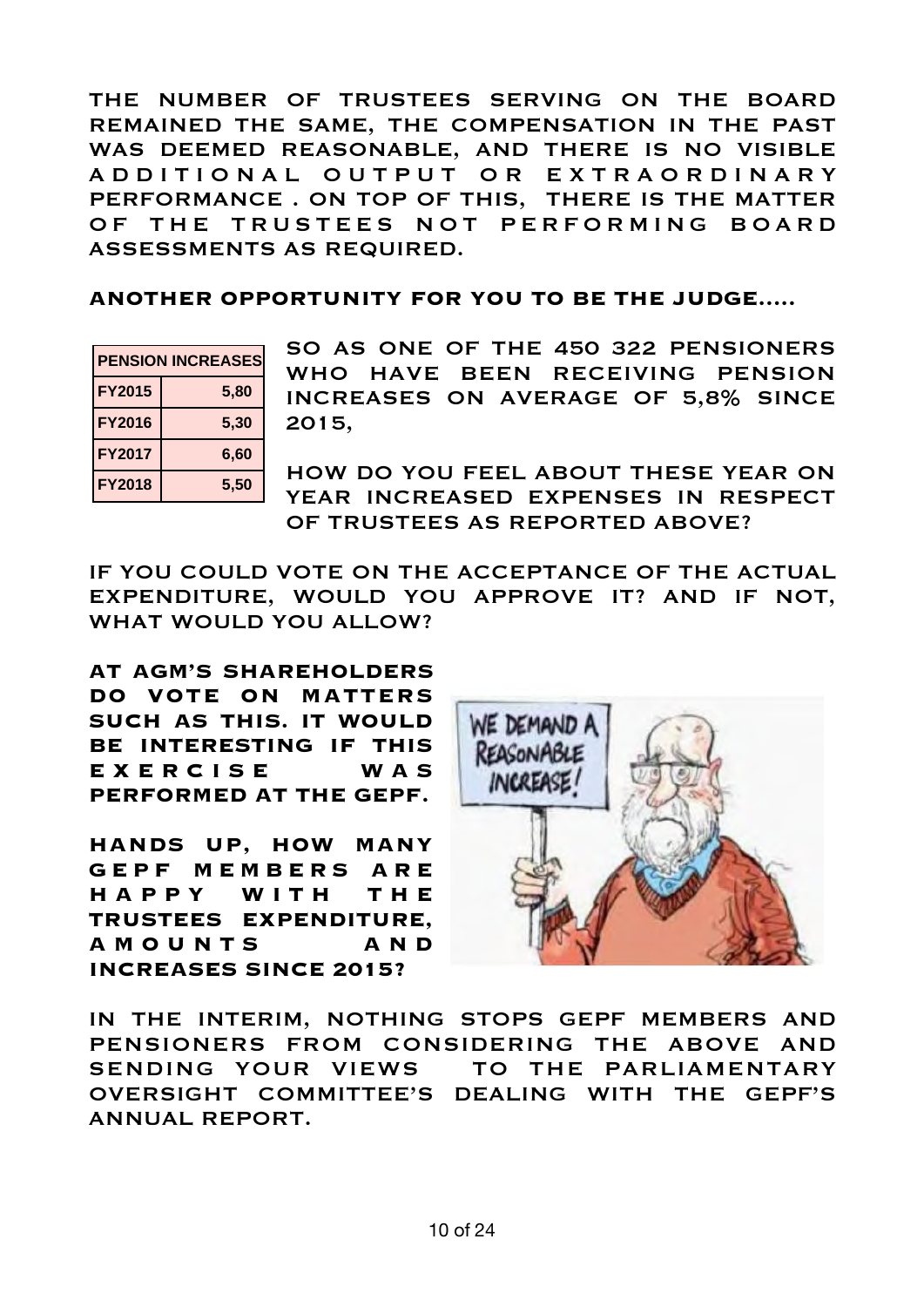THE NUMBER OF TRUSTEES SERVING ON THE BOARD REMAINED THE SAME, THE COMPENSATION IN THE PAST WAS DEEMED REASONABLE, AND THERE IS NO VISIBLE A D D I T I O N A L O U T P U T O R E X T R A O R D I N A R Y PERFORMANCE . ON TOP OF THIS, THERE IS THE MATTER OF THE TRUSTEES NOT PERFORMING BOARD ASSESSMENTS AS REQUIRED.

**ANOTHER OPPORTUNITY FOR YOU TO BE THE JUDGE.....** 

| <b>PENSION INCREASES</b> |      |  |
|--------------------------|------|--|
| <b>FY2015</b>            | 5,80 |  |
| <b>FY2016</b>            | 5,30 |  |
| <b>FY2017</b>            | 6,60 |  |
| <b>FY2018</b>            | 5,50 |  |

SO AS ONE OF THE 450 322 PENSIONERS WHO HAVE BEEN RECEIVING PENSION INCREASES ON AVERAGE OF 5,8% SINCE 2015,

HOW DO YOU FEEL ABOUT THESE YEAR ON YEAR INCREASED EXPENSES IN RESPECT OF TRUSTEES AS REPORTED ABOVE?

IF YOU COULD VOTE ON THE ACCEPTANCE OF THE ACTUAL EXPENDITURE, WOULD YOU APPROVE IT? AND IF NOT, WHAT WOULD YOU ALLOW?

**AT AGM'S SHAREHOLDERS DO VOTE ON MATTERS SUCH AS THIS. IT WOULD BE INTERESTING IF THIS**  EXERCISE WAS **PERFORMED AT THE GEPF.** 

**HANDS UP, HOW MANY G E P F M E M B E R S A R E H A P P Y W I T H T H E TRUSTEES EXPENDITURE, A M O U N T S A N D INCREASES SINCE 2015?** 



IN THE INTERIM, NOTHING STOPS GEPF MEMBERS AND PENSIONERS FROM CONSIDERING THE ABOVE AND SENDING YOUR VIEWS TO THE PARLIAMENTARY OVERSIGHT COMMITTEE'S DEALING WITH THE GEPF'S ANNUAL REPORT.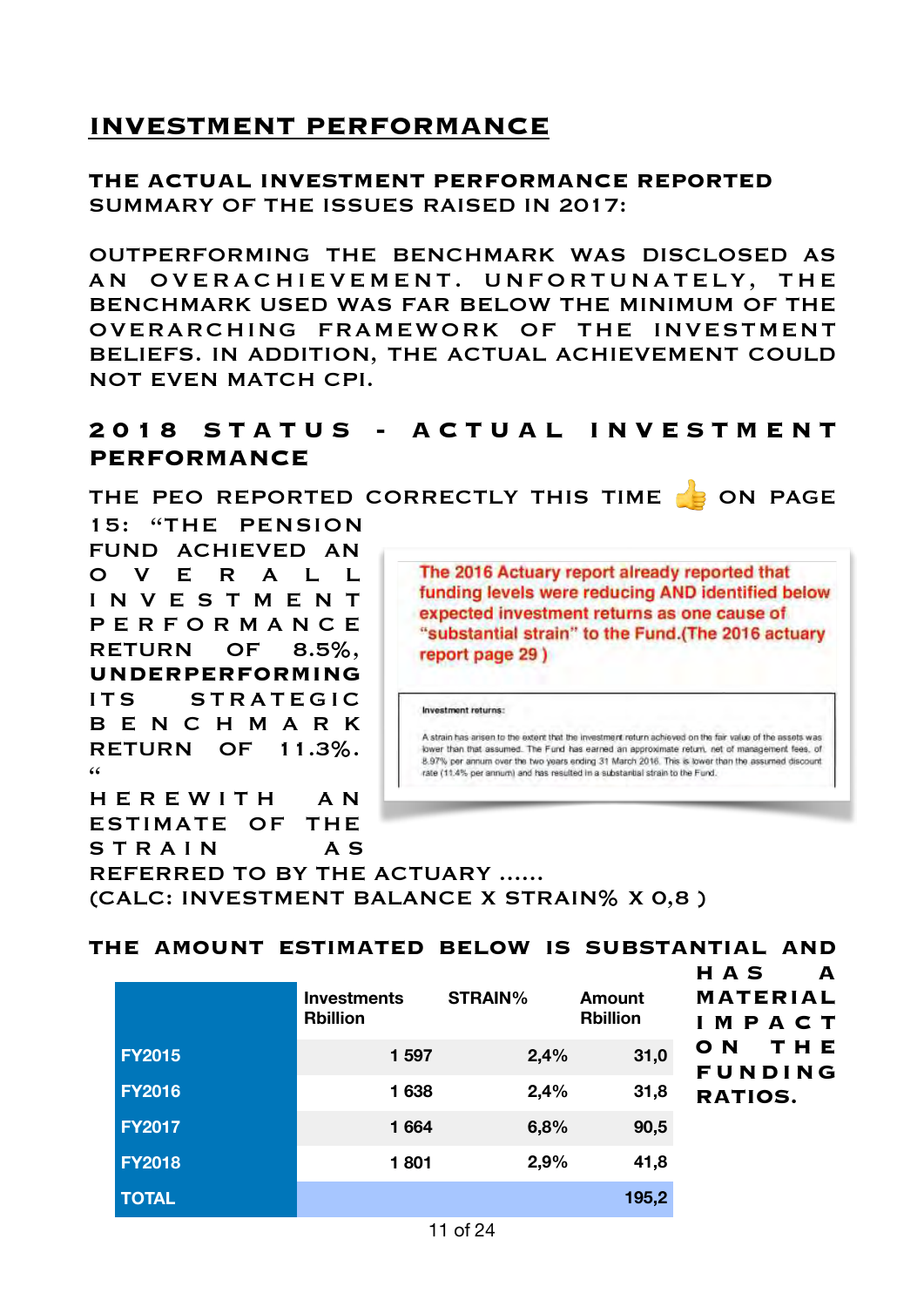# **INVESTMENT PERFORMANCE**

# **THE ACTUAL INVESTMENT PERFORMANCE REPORTED**  SUMMARY OF THE ISSUES RAISED IN 2017:

OUTPERFORMING THE BENCHMARK WAS DISCLOSED AS AN OVERACHIEVEMENT. UNFORTUNATELY, THE BENCHMARK USED WAS FAR BELOW THE MINIMUM OF THE OVERARCHING FRAMEWORK OF THE INVESTMENT BELIEFS. IN ADDITION, THE ACTUAL ACHIEVEMENT COULD NOT EVEN MATCH CPI.

# **2 0 1 8 S T A T U S - A C T U A L I N V E S T M E N T PERFORMANCE**

THE PEO REPORTED CORRECTLY THIS TIME **SOME** ON PAGE

15: "THE PENSION FUND ACHIEVED AN O V E R A L L I N V E S T M E N T P E R F O R M A N C E RETURN OF 8.5%, **UNDERPERFORMING** ITS STRATEGIC B E N C H M A R K RETURN OF 11.3%.  $\epsilon$ 

H E R E W I T H A N ESTIMATE OF THE

The 2016 Actuary report already reported that funding levels were reducing AND identified below expected investment returns as one cause of "substantial strain" to the Fund.(The 2016 actuary report page 29)

Investment returns:

A strain has arisen to the extent that the investment return achieved on the fair value of the assets was lower than that assumed. The Fund has earned an approximate return, net of management fees, of 8.97% per annum over the two years ending 31 March 2016. This is lower than the assumed discount rate (11.4% per annum) and has resulted in a substantial strain to the Fund.

S T R A I N A S REFERRED TO BY THE ACTUARY ...... (CALC: INVESTMENT BALANCE X STRAIN% X 0,8 )

**THE AMOUNT ESTIMATED BELOW IS SUBSTANTIAL AND** 

|               | <b>Investments</b><br><b>Rbillion</b> | <b>STRAIN%</b> | Amount<br><b>Rbillion</b> | <b>HAS</b><br>A<br><b>MATERIAL</b><br>IMPACT |
|---------------|---------------------------------------|----------------|---------------------------|----------------------------------------------|
| <b>FY2015</b> | 1 597                                 | 2,4%           | 31,0                      | THE<br>O N<br><b>FUNDING</b>                 |
| <b>FY2016</b> | 1638                                  | 2,4%           | 31,8                      | <b>RATIOS.</b>                               |
| <b>FY2017</b> | 1 6 64                                | 6,8%           | 90,5                      |                                              |
| <b>FY2018</b> | 1801                                  | 2,9%           | 41,8                      |                                              |
| <b>TOTAL</b>  |                                       |                | 195,2                     |                                              |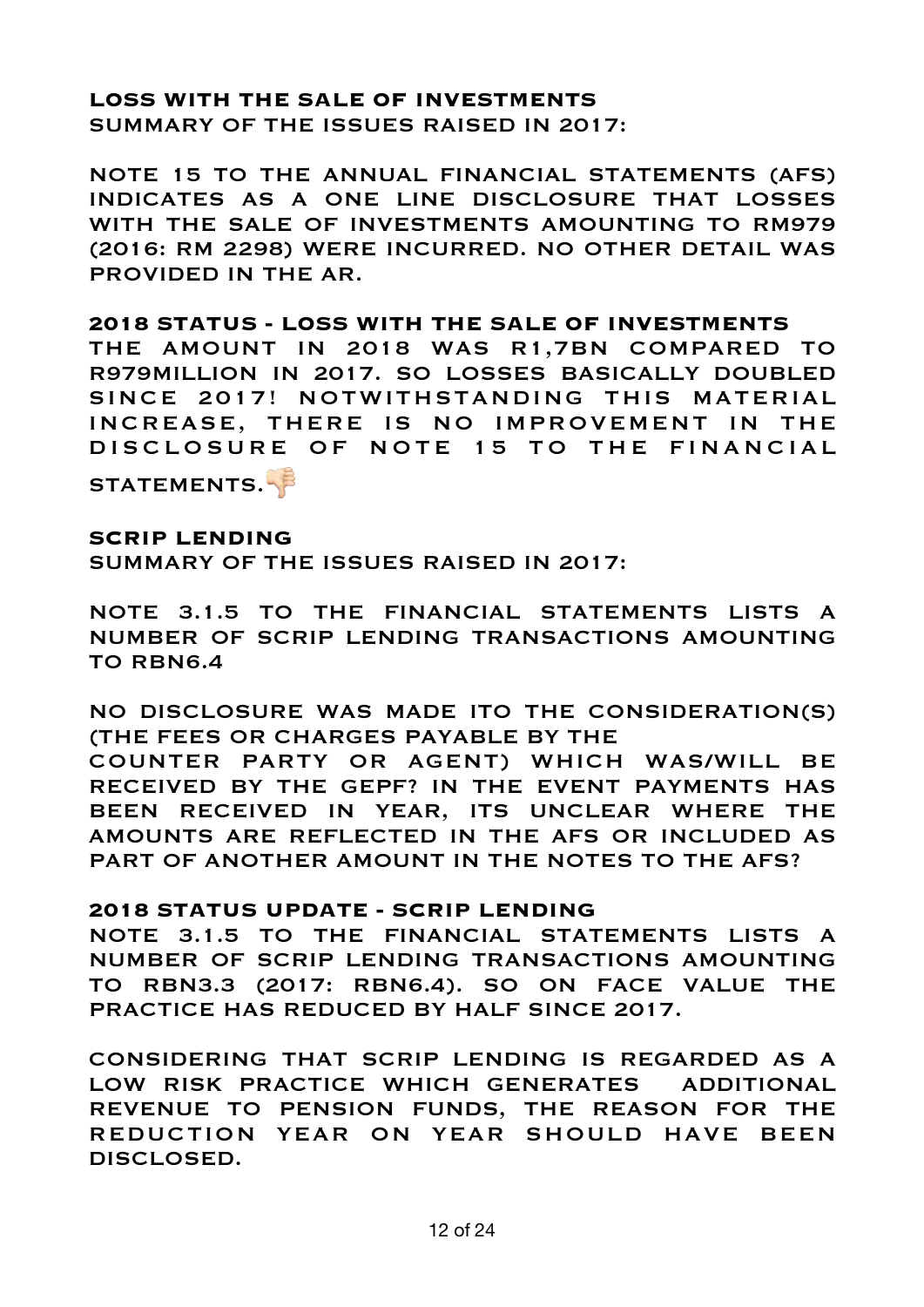#### **LOSS WITH THE SALE OF INVESTMENTS**  SUMMARY OF THE ISSUES RAISED IN 2017:

NOTE 15 TO THE ANNUAL FINANCIAL STATEMENTS (AFS) INDICATES AS A ONE LINE DISCLOSURE THAT LOSSES WITH THE SALE OF INVESTMENTS AMOUNTING TO RM979 (2016: RM 2298) WERE INCURRED. NO OTHER DETAIL WAS PROVIDED IN THE AR.

#### **2018 STATUS - LOSS WITH THE SALE OF INVESTMENTS**

THE AMOUNT IN 2018 WAS R1,7BN COMPARED TO R979MILLION IN 2017. SO LOSSES BASICALLY DOUBLED SINCE 2017! NOTWITHSTANDING THIS MATERIAL INCREASE, THERE IS NO IMPROVEMENT IN THE DISCLOSURE OF NOTE 15 TO THE FINANCIAL

STATEMENTS.

### **SCRIP LENDING**

SUMMARY OF THE ISSUES RAISED IN 2017:

NOTE 3.1.5 TO THE FINANCIAL STATEMENTS LISTS A NUMBER OF SCRIP LENDING TRANSACTIONS AMOUNTING TO RBN6.4

NO DISCLOSURE WAS MADE ITO THE CONSIDERATION(S) (THE FEES OR CHARGES PAYABLE BY THE COUNTER PARTY OR AGENT) WHICH WAS/WILL BE RECEIVED BY THE GEPF? IN THE EVENT PAYMENTS HAS BEEN RECEIVED IN YEAR, ITS UNCLEAR WHERE THE AMOUNTS ARE REFLECTED IN THE AFS OR INCLUDED AS PART OF ANOTHER AMOUNT IN THE NOTES TO THE AFS?

#### **2018 STATUS UPDATE - SCRIP LENDING**

NOTE 3.1.5 TO THE FINANCIAL STATEMENTS LISTS A NUMBER OF SCRIP LENDING TRANSACTIONS AMOUNTING TO RBN3.3 (2017: RBN6.4). SO ON FACE VALUE THE PRACTICE HAS REDUCED BY HALF SINCE 2017.

CONSIDERING THAT SCRIP LENDING IS REGARDED AS A LOW RISK PRACTICE WHICH GENERATES ADDITIONAL REVENUE TO PENSION FUNDS, THE REASON FOR THE REDUCTION YEAR ON YEAR SHOULD HAVE BEEN DISCLOSED.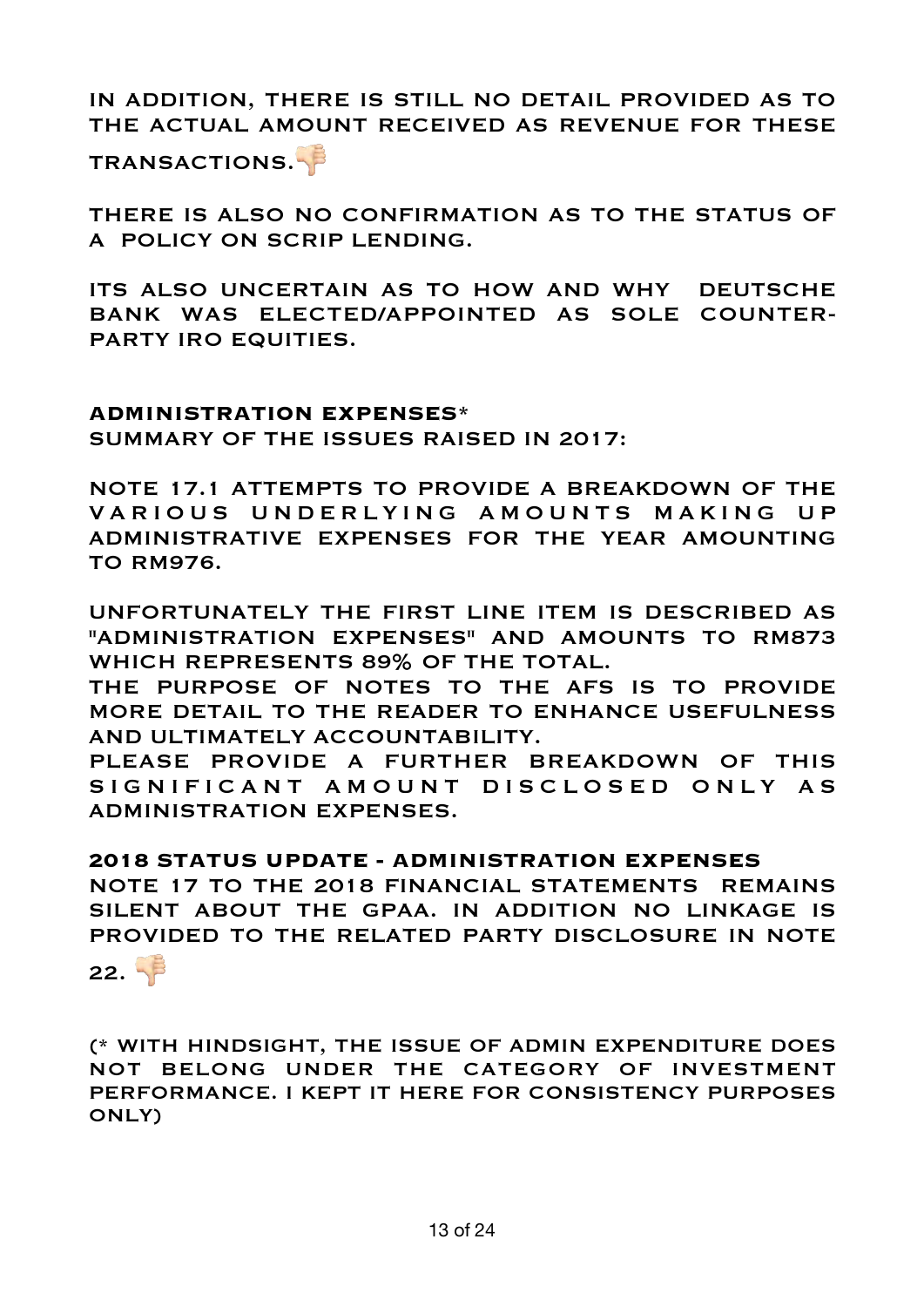# IN ADDITION, THERE IS STILL NO DETAIL PROVIDED AS TO THE ACTUAL AMOUNT RECEIVED AS REVENUE FOR THESE

TRANSACTIONS.

THERE IS ALSO NO CONFIRMATION AS TO THE STATUS OF A POLICY ON SCRIP LENDING.

ITS ALSO UNCERTAIN AS TO HOW AND WHY DEUTSCHE BANK WAS ELECTED/APPOINTED AS SOLE COUNTER-PARTY IRO EQUITIES.

#### **ADMINISTRATION EXPENSES\***

SUMMARY OF THE ISSUES RAISED IN 2017:

NOTE 17.1 ATTEMPTS TO PROVIDE A BREAKDOWN OF THE VARIOUS UNDERLYING AMOUNTS MAKING UP ADMINISTRATIVE EXPENSES FOR THE YEAR AMOUNTING TO RM976.

UNFORTUNATELY THE FIRST LINE ITEM IS DESCRIBED AS "ADMINISTRATION EXPENSES" AND AMOUNTS TO RM873 WHICH REPRESENTS 89% OF THE TOTAL.

THE PURPOSE OF NOTES TO THE AFS IS TO PROVIDE MORE DETAIL TO THE READER TO ENHANCE USEFULNESS AND ULTIMATELY ACCOUNTABILITY.

PLEASE PROVIDE A FURTHER BREAKDOWN OF THIS SIGNIFICANT AMOUNT DISCLOSED ONLY AS ADMINISTRATION EXPENSES.

# **2018 STATUS UPDATE - ADMINISTRATION EXPENSES**

NOTE 17 TO THE 2018 FINANCIAL STATEMENTS REMAINS SILENT ABOUT THE GPAA. IN ADDITION NO LINKAGE IS PROVIDED TO THE RELATED PARTY DISCLOSURE IN NOTE 22.  $\sqrt{3}$ 

(\* WITH HINDSIGHT, THE ISSUE OF ADMIN EXPENDITURE DOES NOT BELONG UNDER THE CATEGORY OF INVESTMENT PERFORMANCE. I KEPT IT HERE FOR CONSISTENCY PURPOSES ONLY)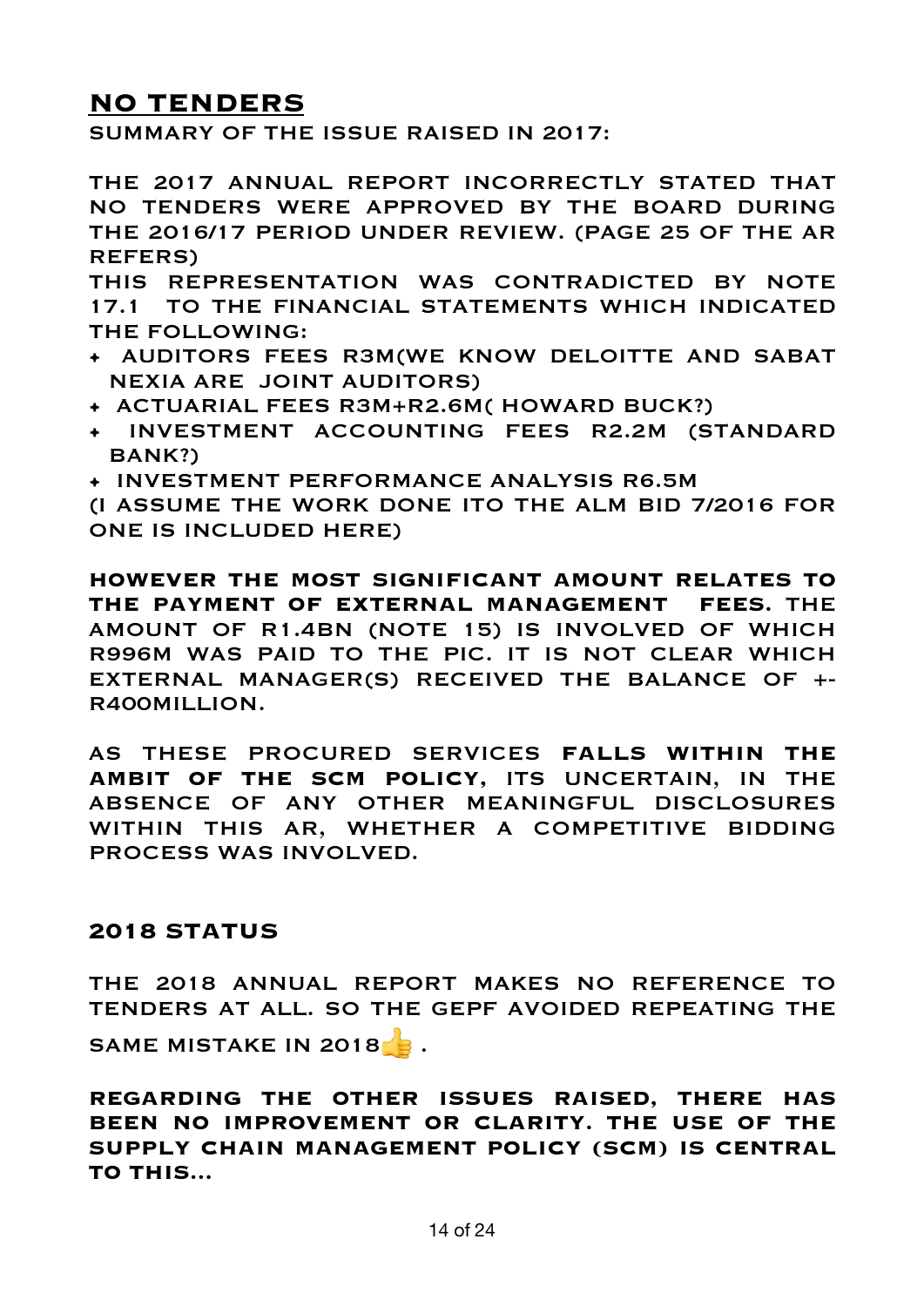# **NO TENDERS**

SUMMARY OF THE ISSUE RAISED IN 2017:

THE 2017 ANNUAL REPORT INCORRECTLY STATED THAT NO TENDERS WERE APPROVED BY THE BOARD DURING THE 2016/17 PERIOD UNDER REVIEW. (PAGE 25 OF THE AR REFERS)

THIS REPRESENTATION WAS CONTRADICTED BY NOTE 17.1 TO THE FINANCIAL STATEMENTS WHICH INDICATED THE FOLLOWING:

- AUDITORS FEES R3M(WE KNOW DELOITTE AND SABAT NEXIA ARE JOINT AUDITORS)
- ACTUARIAL FEES R3M+R2.6M( HOWARD BUCK?)
- INVESTMENT ACCOUNTING FEES R2.2M (STANDARD BANK?)
- INVESTMENT PERFORMANCE ANALYSIS R6.5M

(I ASSUME THE WORK DONE ITO THE ALM BID 7/2016 FOR ONE IS INCLUDED HERE)

**HOWEVER THE MOST SIGNIFICANT AMOUNT RELATES TO THE PAYMENT OF EXTERNAL MANAGEMENT FEES.** THE AMOUNT OF R1.4BN (NOTE 15) IS INVOLVED OF WHICH R996M WAS PAID TO THE PIC. IT IS NOT CLEAR WHICH EXTERNAL MANAGER(S) RECEIVED THE BALANCE OF +- R400MILLION.

AS THESE PROCURED SERVICES **FALLS WITHIN THE AMBIT OF THE SCM POLICY,** ITS UNCERTAIN, IN THE ABSENCE OF ANY OTHER MEANINGFUL DISCLOSURES WITHIN THIS AR, WHETHER A COMPETITIVE BIDDING PROCESS WAS INVOLVED.

# **2018 STATUS**

THE 2018 ANNUAL REPORT MAKES NO REFERENCE TO TENDERS AT ALL. SO THE GEPF AVOIDED REPEATING THE SAME MISTAKE IN 2018 .

**REGARDING THE OTHER ISSUES RAISED, THERE HAS BEEN NO IMPROVEMENT OR CLARITY. THE USE OF THE SUPPLY CHAIN MANAGEMENT POLICY (SCM) IS CENTRAL TO THIS...**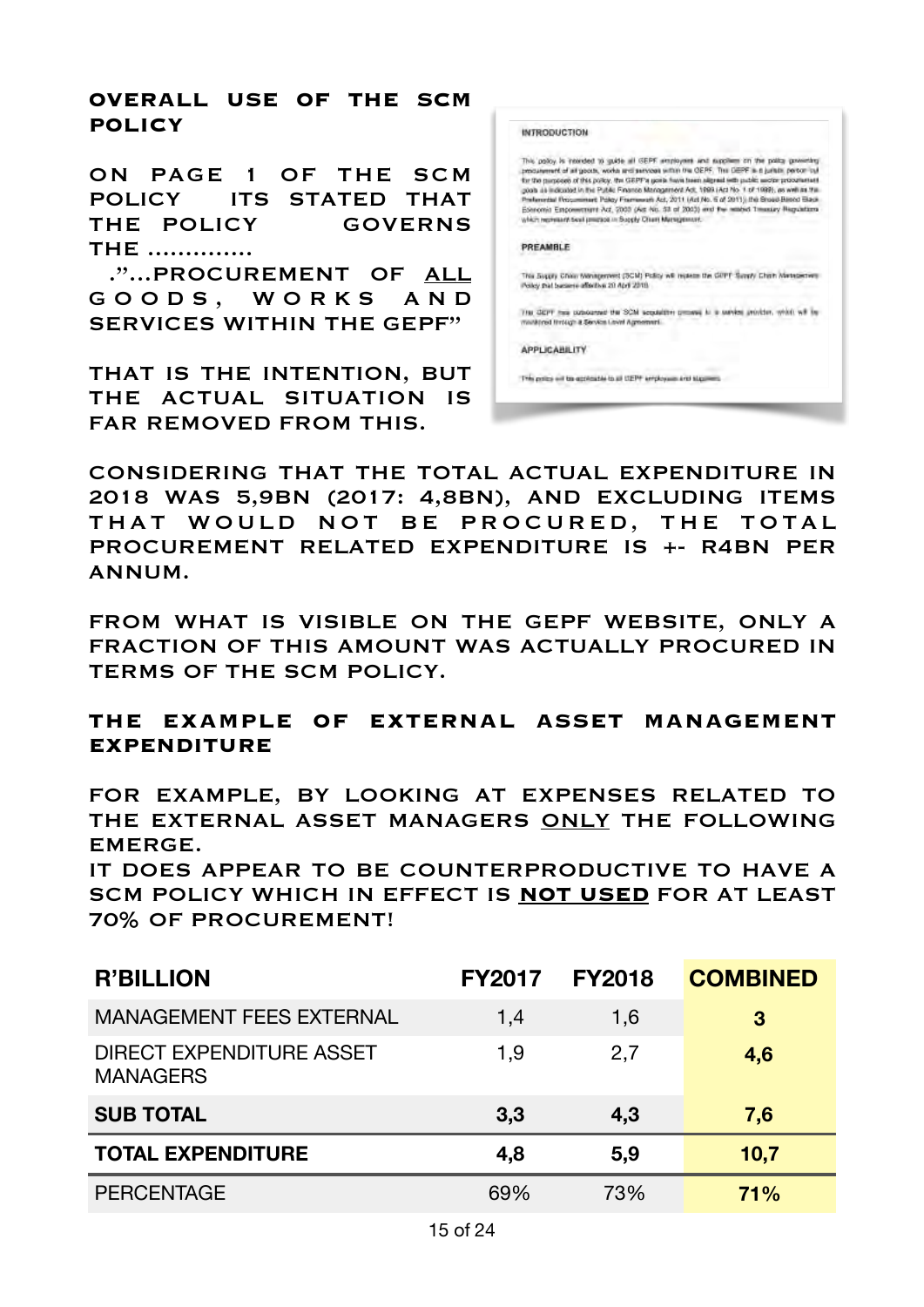### **OVERALL USE OF THE SCM POLICY**

ON PAGE 1 OF THE SCM POLICY ITS STATED THAT THE POLICY GOVERNS THE ..............

 ."...PROCUREMENT OF ALL G O O D S , W O R K S A N D SERVICES WITHIN THE GEPF"

THAT IS THE INTENTION, BUT THE ACTUAL SITUATION IS FAR REMOVED FROM THIS.

| <b>INTRODUCTION</b>                                                                                                                                                                                                                                                                                                                                                                                                                                                                                                                                                                                                                                              |
|------------------------------------------------------------------------------------------------------------------------------------------------------------------------------------------------------------------------------------------------------------------------------------------------------------------------------------------------------------------------------------------------------------------------------------------------------------------------------------------------------------------------------------------------------------------------------------------------------------------------------------------------------------------|
| This goldy is interded to quide all GEPF amployees and suppliers on the policy governing<br>produtement of all goods, works and services within the GEPF. The DEPF is a juristic performula<br>for the margoods of this policy, that GEPF's goals frays town aligned with public weder procurement<br>poph as indicated in the Public Finance Management Act, 1999 (Act No. 1 of 1999), as well as the<br>Preferential Frocurement Policy Fismeweek Act, 2011 (Act No. 5 of 2011). Ihe Sheed-Based Black<br>Edenomic Empowerment Act, 2003 (Act No. 53 of 2003) and the nearbid Treasury Regulations<br>which represent best precios in Sopply Chart Management. |
| PREAMBLE                                                                                                                                                                                                                                                                                                                                                                                                                                                                                                                                                                                                                                                         |
| This Suggey Chair Wanagement (SCM) Policy will registe the GIPT Supply Chain Wanagement<br>Policy that buckers affortive 20 April 2018                                                                                                                                                                                                                                                                                                                                                                                                                                                                                                                           |
| THE GEPT two compared the SCM sequestry proves in<br>monkined firstigh & Service Levini Agreement.                                                                                                                                                                                                                                                                                                                                                                                                                                                                                                                                                               |
| <b>APPLICABE ITY</b>                                                                                                                                                                                                                                                                                                                                                                                                                                                                                                                                                                                                                                             |
| This police will be applicable to all UEPF employees and signifiers.                                                                                                                                                                                                                                                                                                                                                                                                                                                                                                                                                                                             |

CONSIDERING THAT THE TOTAL ACTUAL EXPENDITURE IN 2018 WAS 5,9BN (2017: 4,8BN), AND EXCLUDING ITEMS THAT WOULD NOT BE PROCURED, THE TOTAL PROCUREMENT RELATED EXPENDITURE IS +- R4BN PER ANNUM.

FROM WHAT IS VISIBLE ON THE GEPF WEBSITE, ONLY A FRACTION OF THIS AMOUNT WAS ACTUALLY PROCURED IN TERMS OF THE SCM POLICY.

# **THE EXAMPLE OF EXTERNAL ASSET MANAGEMENT EXPENDITURE**

FOR EXAMPLE, BY LOOKING AT EXPENSES RELATED TO THE EXTERNAL ASSET MANAGERS ONLY THE FOLLOWING EMERGE.

IT DOES APPEAR TO BE COUNTERPRODUCTIVE TO HAVE A SCM POLICY WHICH IN EFFECT IS **NOT USED** FOR AT LEAST 70% OF PROCUREMENT!

| <b>R'BILLION</b>                                   | <b>FY2017</b> | <b>FY2018</b> | <b>COMBINED</b> |
|----------------------------------------------------|---------------|---------------|-----------------|
| <b>MANAGEMENT FEES EXTERNAL</b>                    | 1,4           | 1,6           | 3               |
| <b>DIRECT EXPENDITURE ASSET</b><br><b>MANAGERS</b> | 1.9           | 2,7           | 4,6             |
| <b>SUB TOTAL</b>                                   | 3,3           | 4,3           | 7,6             |
| <b>TOTAL EXPENDITURE</b>                           | 4,8           | 5,9           | 10,7            |
| <b>PERCENTAGE</b>                                  | 69%           | 73%           | 71%             |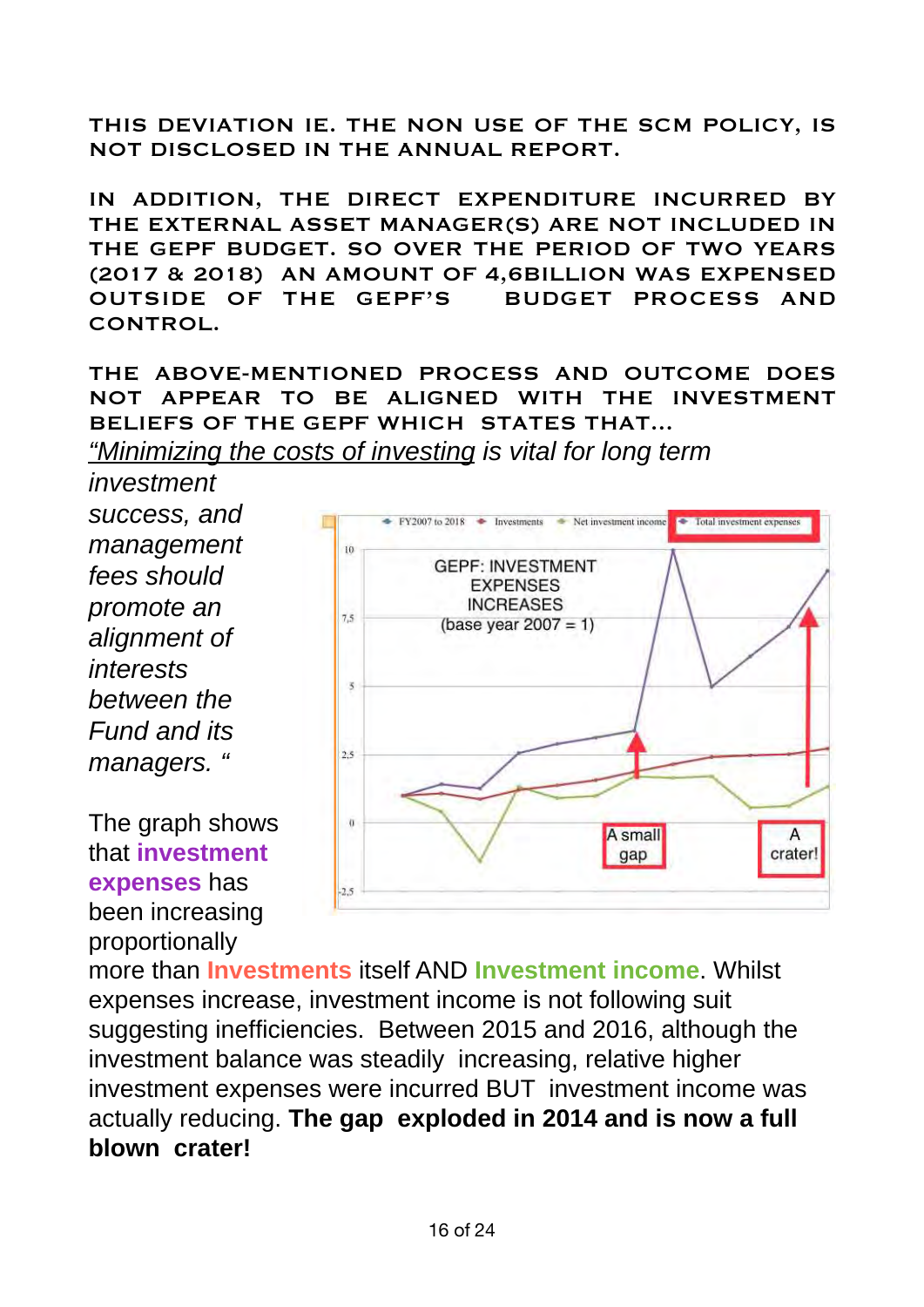THIS DEVIATION IE. THE NON USE OF THE SCM POLICY, IS NOT DISCLOSED IN THE ANNUAL REPORT.

IN ADDITION, THE DIRECT EXPENDITURE INCURRED BY THE EXTERNAL ASSET MANAGER(S) ARE NOT INCLUDED IN THE GEPF BUDGET. SO OVER THE PERIOD OF TWO YEARS (2017 & 2018) AN AMOUNT OF 4,6BILLION WAS EXPENSED OUTSIDE OF THE GEPF'S BUDGET PROCESS AND CONTROL.

THE ABOVE-MENTIONED PROCESS AND OUTCOME DOES NOT APPEAR TO BE ALIGNED WITH THE INVESTMENT BELIEFS OF THE GEPF WHICH STATES THAT...

*"Minimizing the costs of investing is vital for long term*

*investment success, and management fees should promote an alignment of interests between the Fund and its managers. "*

The graph shows that **investment expenses** has been increasing proportionally



more than **Investments** itself AND **Investment income**. Whilst expenses increase, investment income is not following suit suggesting inefficiencies. Between 2015 and 2016, although the investment balance was steadily increasing, relative higher investment expenses were incurred BUT investment income was actually reducing. **The gap exploded in 2014 and is now a full blown crater!**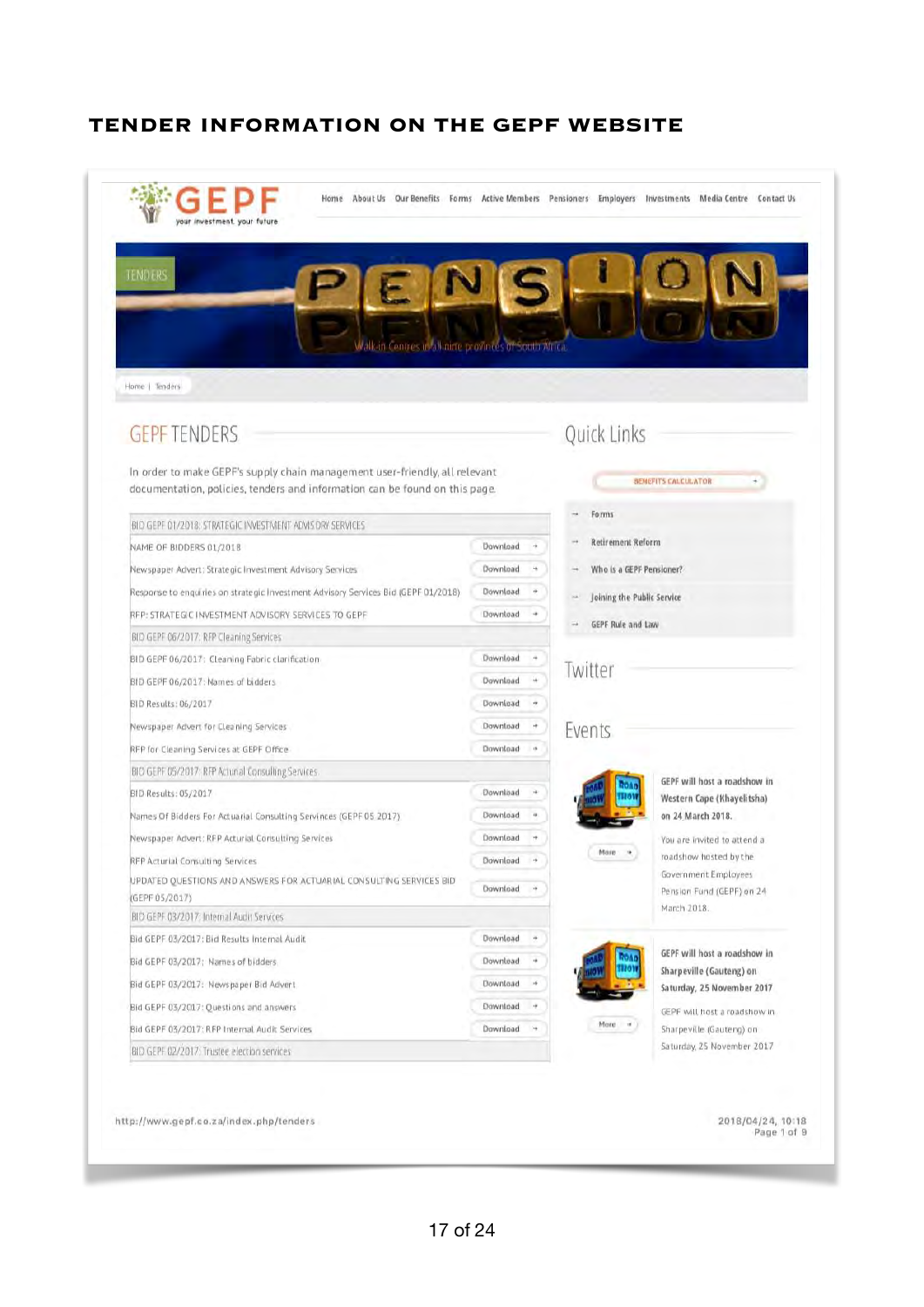### **TENDER INFORMATION ON THE GEPF WEBSITE**

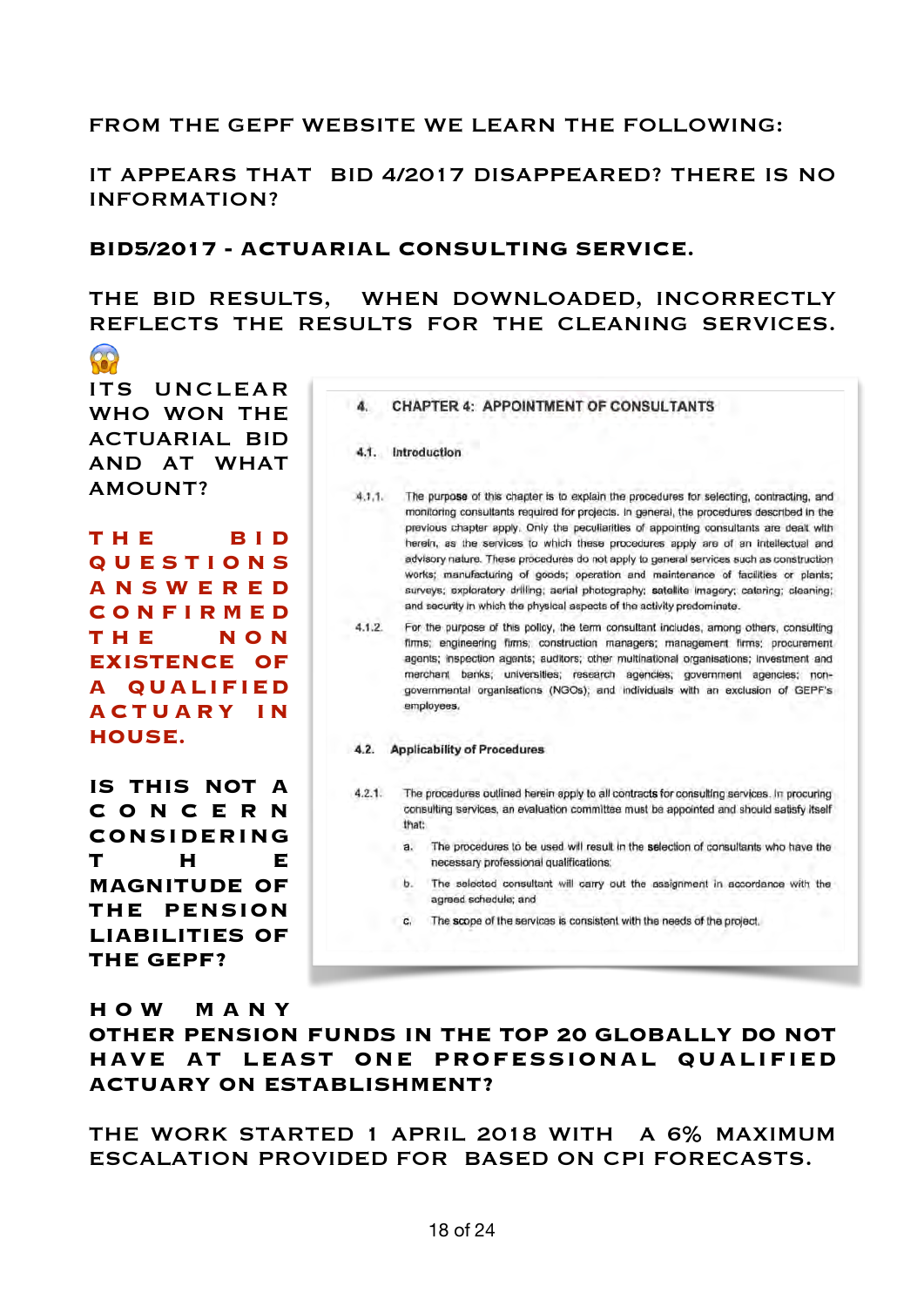#### FROM THE GEPF WEBSITE WE LEARN THE FOLLOWING:

IT APPEARS THAT BID 4/2017 DISAPPEARED? THERE IS NO INFORMATION?

#### **BID5/2017 - ACTUARIAL CONSULTING SERVICE.**

# THE BID RESULTS, WHEN DOWNLOADED, INCORRECTLY REFLECTS THE RESULTS FOR THE CLEANING SERVICES.

**R** ITS UNCLEAR WHO WON THE ACTUARIAL BID AND AT WHAT AMOUNT?

**T H E B I D Q U E S T I O N S A N S W E R E D C O N F I R M E D T H E N O N EXISTENCE OF A QUALIFIED A C T U A R Y I N HOUSE.** 

**IS THIS NOT A C O N C E R N CONSIDERING T H E MAGNITUDE OF THE PENSION LIABILITIES OF THE GEPF?** 

|        | <b>CHAPTER 4: APPOINTMENT OF CONSULTANTS</b>                                                                                                                                                                                                                                                                                                                                                                                                                                                                                                                                                                                                                                                                                   |
|--------|--------------------------------------------------------------------------------------------------------------------------------------------------------------------------------------------------------------------------------------------------------------------------------------------------------------------------------------------------------------------------------------------------------------------------------------------------------------------------------------------------------------------------------------------------------------------------------------------------------------------------------------------------------------------------------------------------------------------------------|
|        | 4.1. Introduction                                                                                                                                                                                                                                                                                                                                                                                                                                                                                                                                                                                                                                                                                                              |
| 4.1.1. | The purpose of this chapter is to explain the procedures for selecting, contracting, and<br>monitoring consultants required for projects. In general, the procedures described in the<br>previous chapter apply. Only the peculiarities of appointing consultants are dealt with<br>herein, as the services to which these procedures apply are of an intellectual and<br>advisory nature. These procedures do not apply to general services such as construction<br>works; manufacturing of goods; operation and maintenance of facilities or plants;<br>surveys; exploratory drilling; aerial photography; satellite imagery; catering; cleaning;<br>and security in which the physical aspects of the activity predominate. |
| 4.1.2. | For the purpose of this policy, the term consultant includes, among others, consulting<br>firms; engineering firms; construction managers; management firms; procurement<br>agents; inspection agents; auditors; other multinational organisations; investment and<br>merchant banks; universities; research agencies; government agencies; non-<br>governmental organisations (NGOs); and individuals with an exclusion of GEPF's<br>employees.                                                                                                                                                                                                                                                                               |
| 4.2.   | <b>Applicability of Procedures</b>                                                                                                                                                                                                                                                                                                                                                                                                                                                                                                                                                                                                                                                                                             |
| 4.2.1. | The procedures outlined herein apply to all contracts for consulting services. In procuring<br>consulting services, an evaluation committee must be appointed and should satisfy itself<br>that:                                                                                                                                                                                                                                                                                                                                                                                                                                                                                                                               |
|        | The procedures to be used will result in the selection of consultants who have the<br>a.<br>necessary professional qualifications:                                                                                                                                                                                                                                                                                                                                                                                                                                                                                                                                                                                             |
|        | b.<br>The selected consultant will carry out the assignment in accordance with the<br>agreed schedule; and                                                                                                                                                                                                                                                                                                                                                                                                                                                                                                                                                                                                                     |
|        | The scope of the services is consistent with the needs of the project.<br>C.                                                                                                                                                                                                                                                                                                                                                                                                                                                                                                                                                                                                                                                   |

#### **H O W M A N Y**

**OTHER PENSION FUNDS IN THE TOP 20 GLOBALLY DO NOT HAVE AT LEAST ONE PROFESSIONAL QUALIFIED ACTUARY ON ESTABLISHMENT?** 

THE WORK STARTED 1 APRIL 2018 WITH A 6% MAXIMUM ESCALATION PROVIDED FOR BASED ON CPI FORECASTS.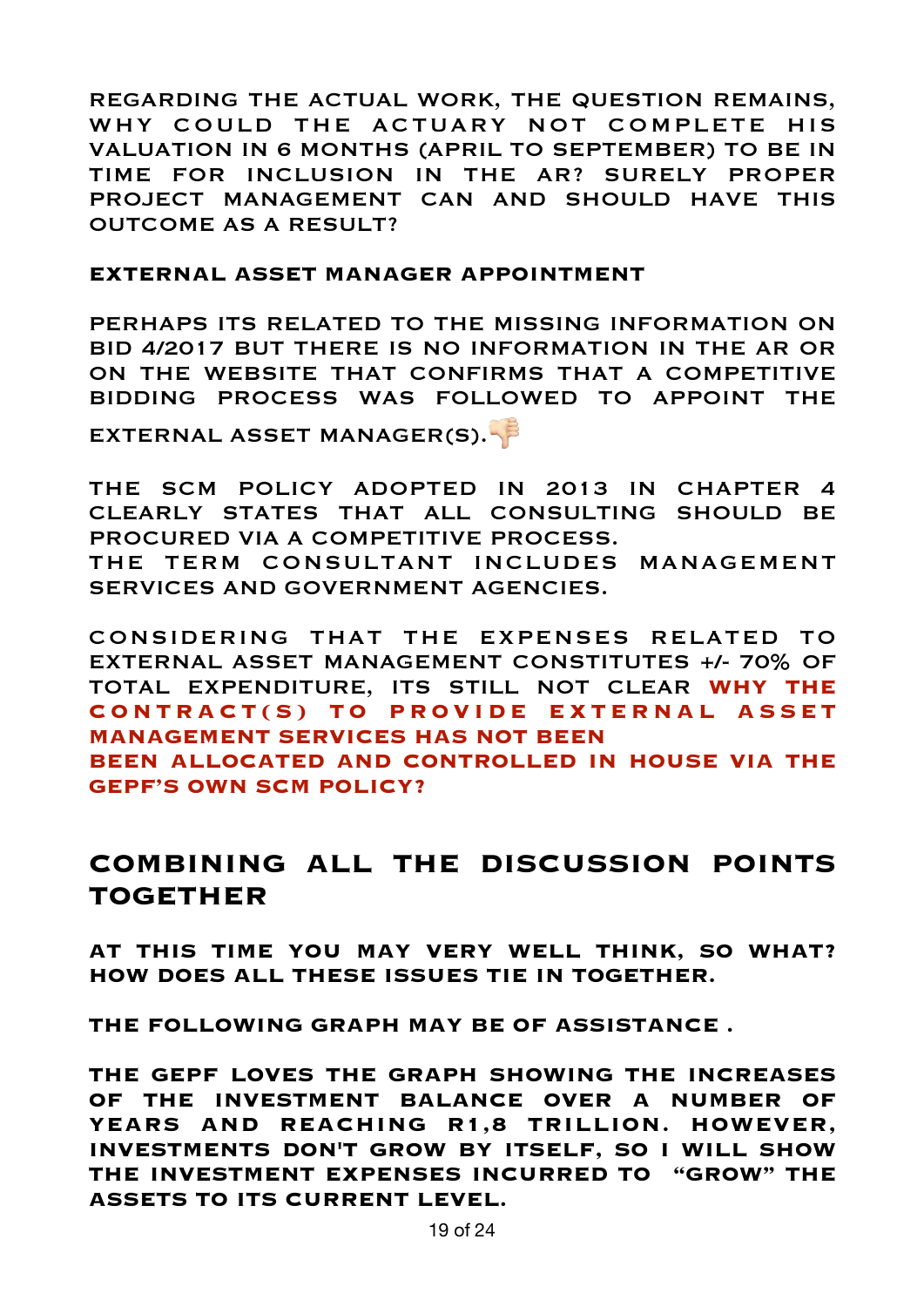REGARDING THE ACTUAL WORK, THE QUESTION REMAINS, WHY COULD THE ACTUARY NOT COMPLETE HIS VALUATION IN 6 MONTHS (APRIL TO SEPTEMBER) TO BE IN TIME FOR INCLUSION IN THE AR? SURELY PROPER PROJECT MANAGEMENT CAN AND SHOULD HAVE THIS OUTCOME AS A RESULT?

#### **EXTERNAL ASSET MANAGER APPOINTMENT**

PERHAPS ITS RELATED TO THE MISSING INFORMATION ON BID 4/2017 BUT THERE IS NO INFORMATION IN THE AR OR ON THE WEBSITE THAT CONFIRMS THAT A COMPETITIVE BIDDING PROCESS WAS FOLLOWED TO APPOINT THE

EXTERNAL ASSET MANAGER(S).

THE SCM POLICY ADOPTED IN 2013 IN CHAPTER 4 CLEARLY STATES THAT ALL CONSULTING SHOULD BE PROCURED VIA A COMPETITIVE PROCESS. THE TERM CONSULTANT INCLUDES MANAGEMENT SERVICES AND GOVERNMENT AGENCIES.

CONSIDERING THAT THE EXPENSES RELATED TO EXTERNAL ASSET MANAGEMENT CONSTITUTES +/- 70% OF TOTAL EXPENDITURE, ITS STILL NOT CLEAR **WHY THE CONTRACT(S) TO PROVIDE EXTERNAL ASSET MANAGEMENT SERVICES HAS NOT BEEN BEEN ALLOCATED AND CONTROLLED IN HOUSE VIA THE GEPF'S OWN SCM POLICY?** 

# **COMBINING ALL THE DISCUSSION POINTS TOGETHER**

**AT THIS TIME YOU MAY VERY WELL THINK, SO WHAT? HOW DOES ALL THESE ISSUES TIE IN TOGETHER.** 

**THE FOLLOWING GRAPH MAY BE OF ASSISTANCE .** 

**THE GEPF LOVES THE GRAPH SHOWING THE INCREASES OF THE INVESTMENT BALANCE OVER A NUMBER OF YEARS AND REACHING R1,8 TRILLION. HOWEVER, INVESTMENTS DON'T GROW BY ITSELF, SO I WILL SHOW THE INVESTMENT EXPENSES INCURRED TO "GROW" THE ASSETS TO ITS CURRENT LEVEL.**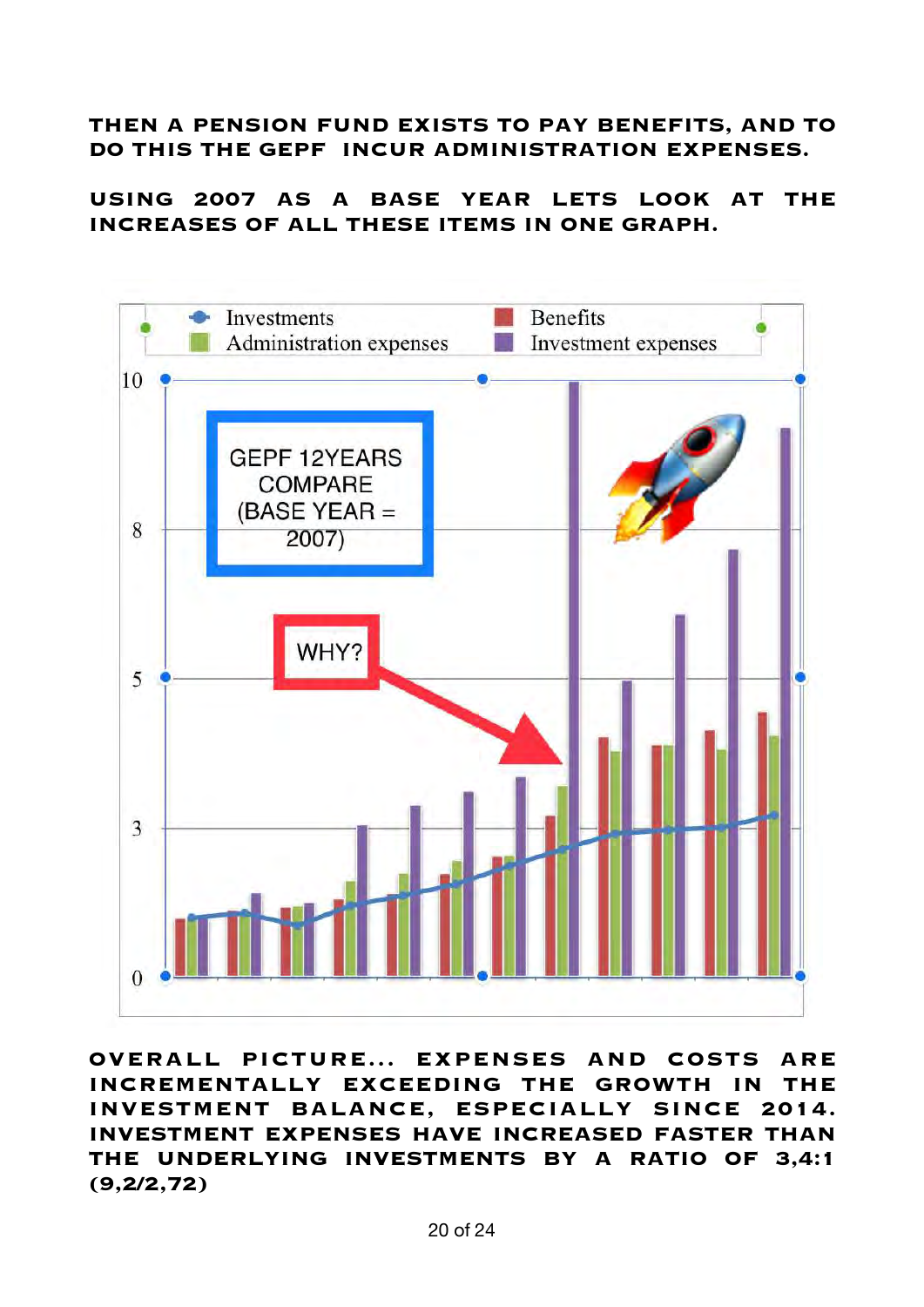### **THEN A PENSION FUND EXISTS TO PAY BENEFITS, AND TO DO THIS THE GEPF INCUR ADMINISTRATION EXPENSES.**

**USING 2007 AS A BASE YEAR LETS LOOK AT THE INCREASES OF ALL THESE ITEMS IN ONE GRAPH.**



**OVERALL PICTURE... EXPENSES AND COSTS ARE INCREMENTALLY EXCEEDING THE GROWTH IN THE INVESTMENT BALANCE, ESPECIALLY SINCE 2014. INVESTMENT EXPENSES HAVE INCREASED FASTER THAN THE UNDERLYING INVESTMENTS BY A RATIO OF 3,4:1 (9,2/2,72)**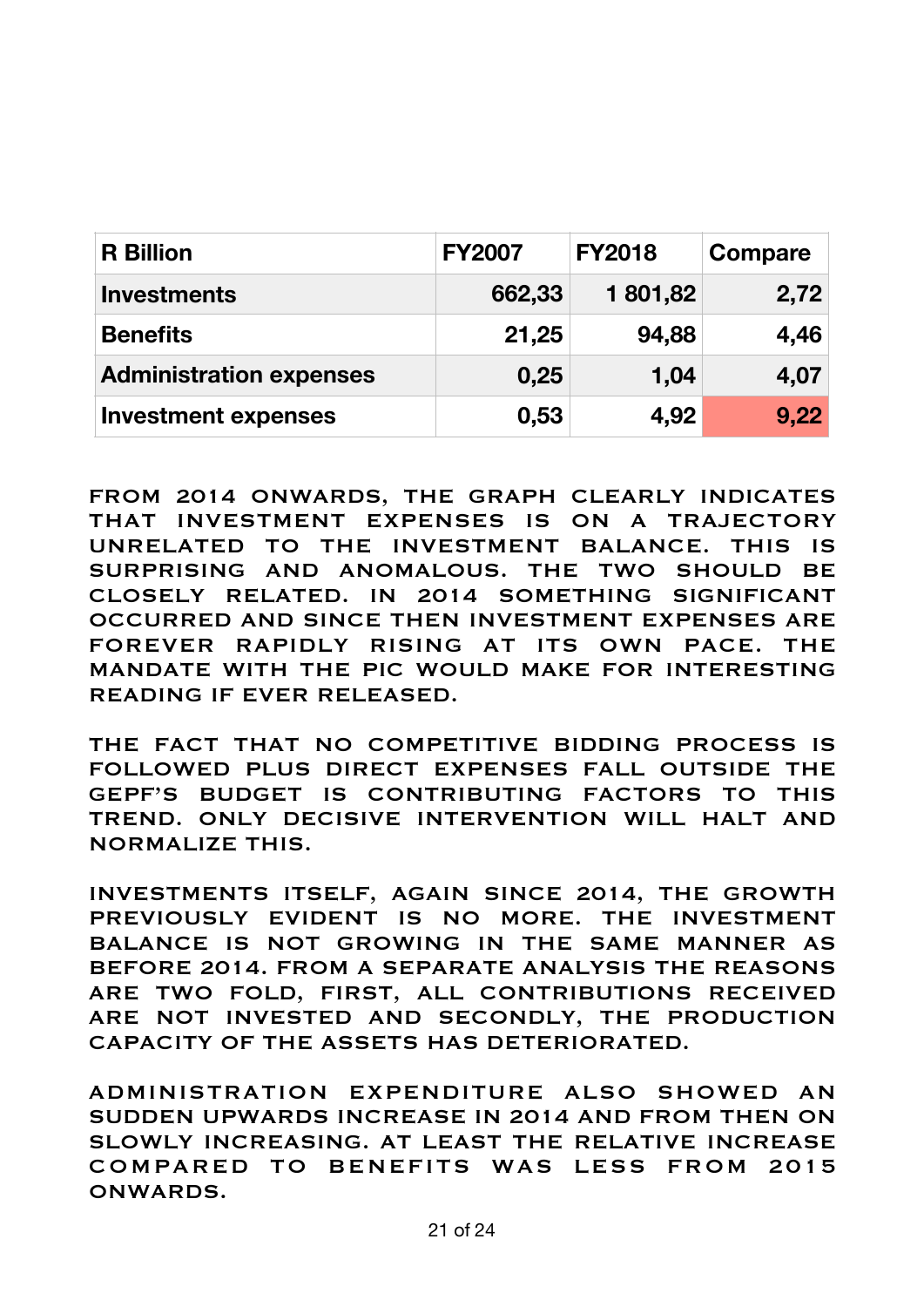| <b>R</b> Billion               | <b>FY2007</b> | <b>FY2018</b> | Compare |
|--------------------------------|---------------|---------------|---------|
| <b>Investments</b>             | 662,33        | 1 801,82      | 2,72    |
| <b>Benefits</b>                | 21,25         | 94,88         | 4,46    |
| <b>Administration expenses</b> | 0,25          | 1,04          | 4,07    |
| <b>Investment expenses</b>     | 0,53          | 4,92          | 9,22    |

FROM 2014 ONWARDS, THE GRAPH CLEARLY INDICATES THAT INVESTMENT EXPENSES IS ON A TRAJECTORY UNRELATED TO THE INVESTMENT BALANCE. THIS IS SURPRISING AND ANOMALOUS. THE TWO SHOULD BE CLOSELY RELATED. IN 2014 SOMETHING SIGNIFICANT OCCURRED AND SINCE THEN INVESTMENT EXPENSES ARE FOREVER RAPIDLY RISING AT ITS OWN PACE. THE MANDATE WITH THE PIC WOULD MAKE FOR INTERESTING READING IF EVER RELEASED.

THE FACT THAT NO COMPETITIVE BIDDING PROCESS IS FOLLOWED PLUS DIRECT EXPENSES FALL OUTSIDE THE GEPF'S BUDGET IS CONTRIBUTING FACTORS TO THIS TREND. ONLY DECISIVE INTERVENTION WILL HALT AND NORMALIZE THIS.

INVESTMENTS ITSELF, AGAIN SINCE 2014, THE GROWTH PREVIOUSLY EVIDENT IS NO MORE. THE INVESTMENT BALANCE IS NOT GROWING IN THE SAME MANNER AS BEFORE 2014. FROM A SEPARATE ANALYSIS THE REASONS ARE TWO FOLD, FIRST, ALL CONTRIBUTIONS RECEIVED ARE NOT INVESTED AND SECONDLY, THE PRODUCTION CAPACITY OF THE ASSETS HAS DETERIORATED.

ADMINISTRATION EXPENDITURE ALSO SHOWED AN SUDDEN UPWARDS INCREASE IN 2014 AND FROM THEN ON SLOWLY INCREASING. AT LEAST THE RELATIVE INCREASE COMPARED TO BENEFITS WAS LESS FROM 2015 ONWARDS.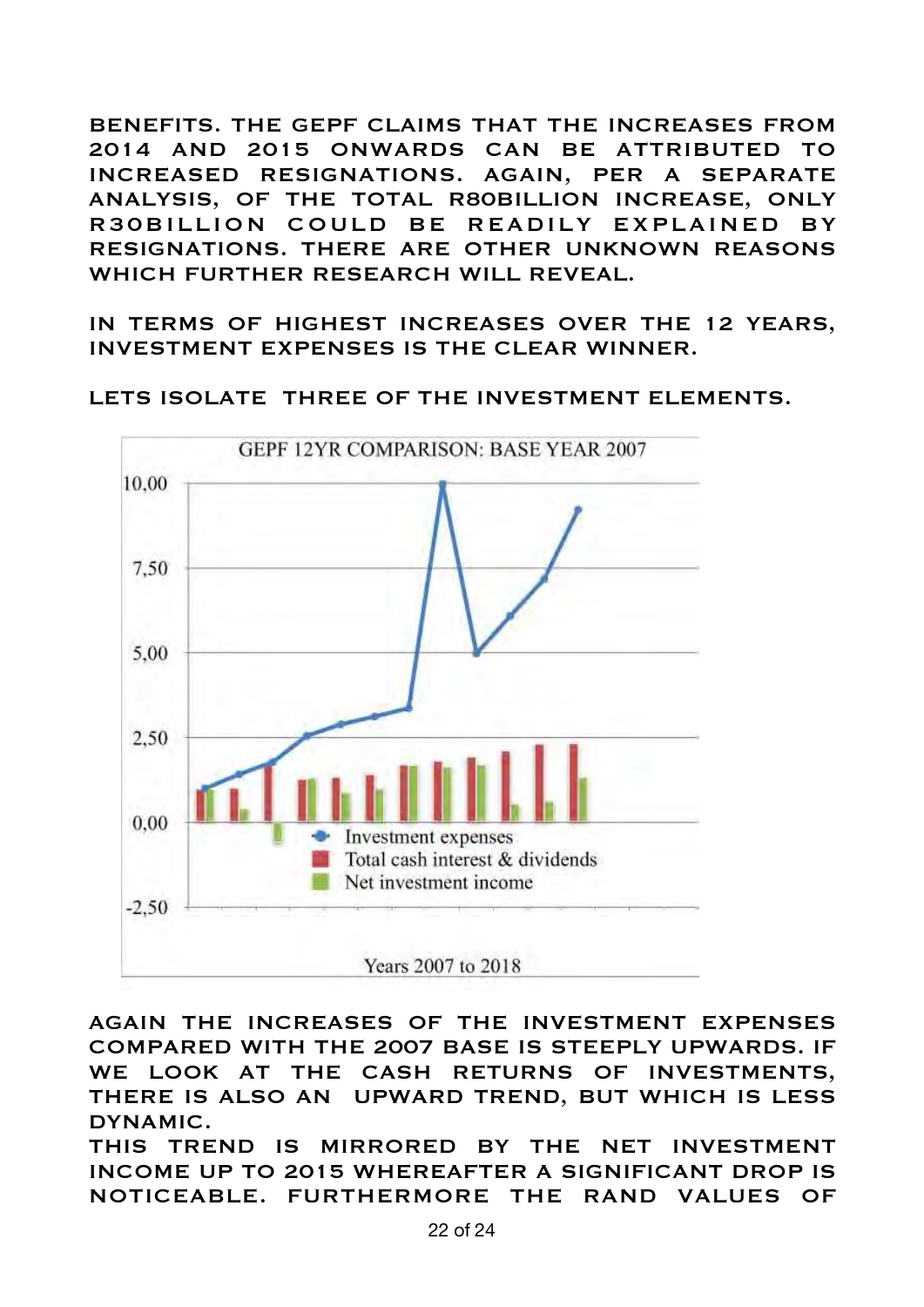BENEFITS. THE GEPF CLAIMS THAT THE INCREASES FROM 2014 AND 2015 ONWARDS CAN BE ATTRIBUTED TO INCREASED RESIGNATIONS. AGAIN, PER A SEPARATE ANALYSIS, OF THE TOTAL R80BILLION INCREASE, ONLY R30BILLION COULD BE READILY EXPLAINED BY RESIGNATIONS. THERE ARE OTHER UNKNOWN REASONS WHICH FURTHER RESEARCH WILL REVEAL.

IN TERMS OF HIGHEST INCREASES OVER THE 12 YEARS, INVESTMENT EXPENSES IS THE CLEAR WINNER.



LETS ISOLATE THREE OF THE INVESTMENT ELEMENTS.

AGAIN THE INCREASES OF THE INVESTMENT EXPENSES COMPARED WITH THE 2007 BASE IS STEEPLY UPWARDS. IF WE LOOK AT THE CASH RETURNS OF INVESTMENTS, THERE IS ALSO AN UPWARD TREND, BUT WHICH IS LESS DYNAMIC.

THIS TREND IS MIRRORED BY THE NET INVESTMENT INCOME UP TO 2015 WHEREAFTER A SIGNIFICANT DROP IS NOTICEABLE. FURTHERMORE THE RAND VALUES OF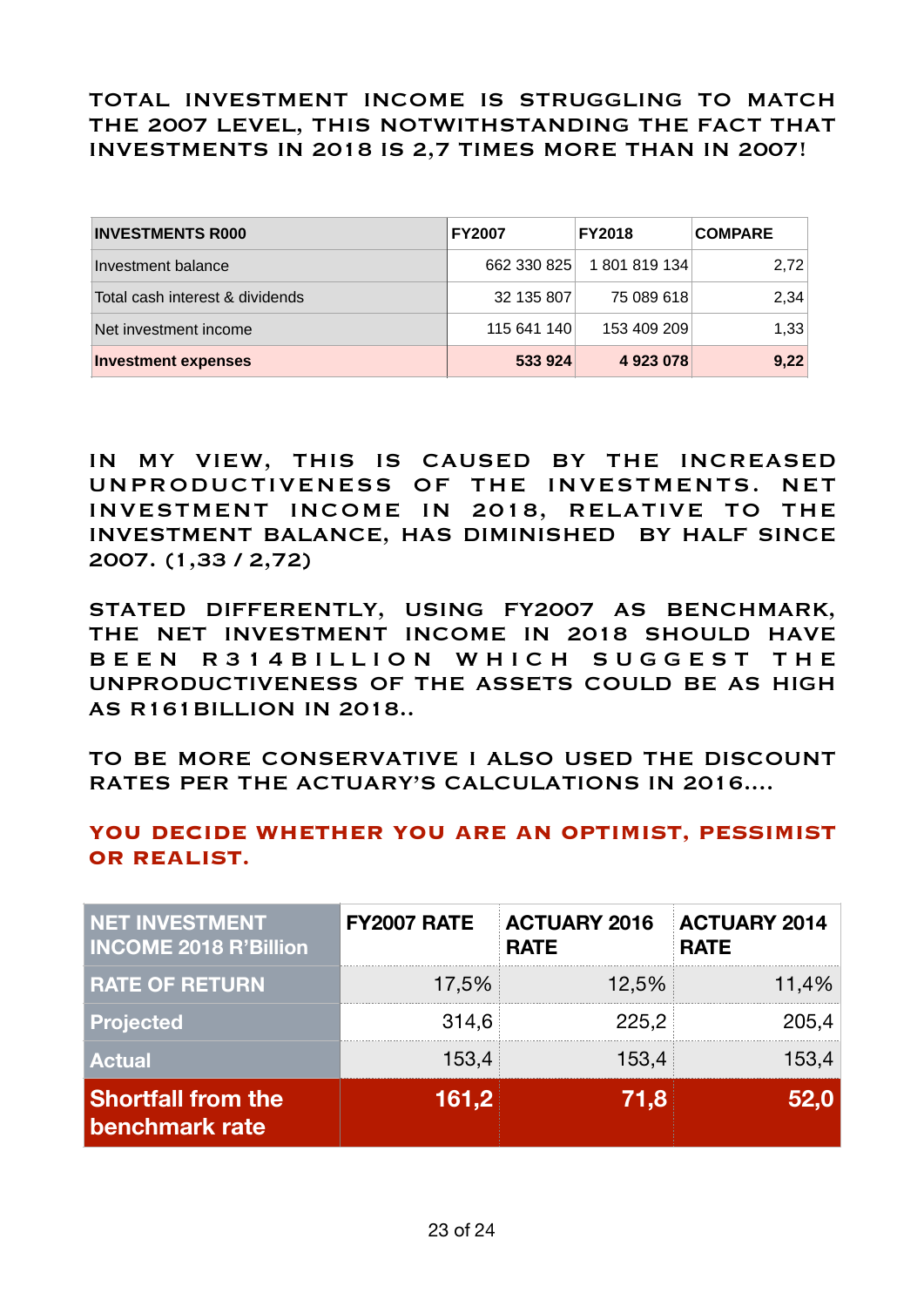TOTAL INVESTMENT INCOME IS STRUGGLING TO MATCH THE 2007 LEVEL, THIS NOTWITHSTANDING THE FACT THAT INVESTMENTS IN 2018 IS 2,7 TIMES MORE THAN IN 2007!

| <b>INVESTMENTS R000</b>         | <b>FY2007</b> | <b>FY2018</b> | <b>COMPARE</b> |
|---------------------------------|---------------|---------------|----------------|
| Investment balance              | 662 330 825   | 1 801 819 134 | 2.72           |
| Total cash interest & dividends | 32 135 807    | 75 089 618    | 2,34           |
| Net investment income           | 115 641 140   | 153 409 209   | 1,33           |
| <b>Investment expenses</b>      | 533 924       | 4923078       | 9,22           |

IN MY VIEW, THIS IS CAUSED BY THE INCREASED UNPRODUCTIVENESS OF THE INVESTMENTS. NET INVESTMENT INCOME IN 2018, RELATIVE TO THE INVESTMENT BALANCE, HAS DIMINISHED BY HALF SINCE 2007. (1,33 / 2,72)

STATED DIFFERENTLY, USING FY2007 AS BENCHMARK, THE NET INVESTMENT INCOME IN 2018 SHOULD HAVE B E E N R 3 1 4 B I L L I O N W H I C H S U G G E S T T H E UNPRODUCTIVENESS OF THE ASSETS COULD BE AS HIGH AS R161BILLION IN 2018..

TO BE MORE CONSERVATIVE I ALSO USED THE DISCOUNT RATES PER THE ACTUARY'S CALCULATIONS IN 2016....

# YOU DECIDE WHETHER YOU ARE AN OPTIMIST, PESSIMIST **OR REALIST.**

| <b>NET INVESTMENT</b><br><b>INCOME 2018 R'Billion</b> | <b>FY2007 RATE</b> | <b>ACTUARY 2016</b><br><b>RATE</b> | <b>ACTUARY 2014</b><br><b>RATE</b> |
|-------------------------------------------------------|--------------------|------------------------------------|------------------------------------|
| <b>RATE OF RETURN</b>                                 | 17,5%              | 12,5%                              | 11,4%                              |
| <b>Projected</b>                                      | 314,6              | 225,2                              | 205,4                              |
| <b>Actual</b>                                         | 153,4              | 153,4                              | 153,4                              |
| <b>Shortfall from the</b><br>benchmark rate           | 161,2              | 71.8                               | 52.0                               |